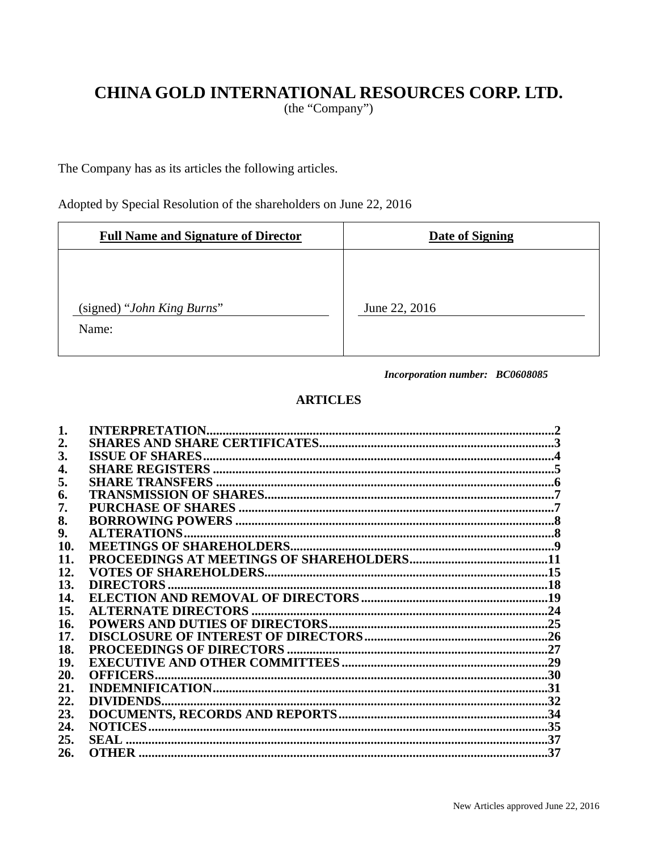# CHINA GOLD INTERNATIONAL RESOURCES CORP. LTD.

(the "Company")

The Company has as its articles the following articles.

Adopted by Special Resolution of the shareholders on June 22, 2016

| <b>Full Name and Signature of Director</b> | <b>Date of Signing</b> |
|--------------------------------------------|------------------------|
| (signed) "John King Burns"<br>Name:        | June 22, 2016          |

Incorporation number: BC0608085

# **ARTICLES**

| 2.  |                     |  |
|-----|---------------------|--|
| 3.  |                     |  |
| 4.  |                     |  |
| 5.  |                     |  |
| 6.  |                     |  |
| 7.  |                     |  |
| 8.  |                     |  |
| 9.  | <b>ALTERATIONS.</b> |  |
| 10. |                     |  |
| 11. |                     |  |
| 12. |                     |  |
| 13. |                     |  |
| 14. |                     |  |
| 15. |                     |  |
| 16. |                     |  |
| 17. |                     |  |
| 18. |                     |  |
| 19. |                     |  |
| 20. |                     |  |
| 21. |                     |  |
| 22. |                     |  |
| 23. |                     |  |
| 24. |                     |  |
| 25. |                     |  |
| 26. |                     |  |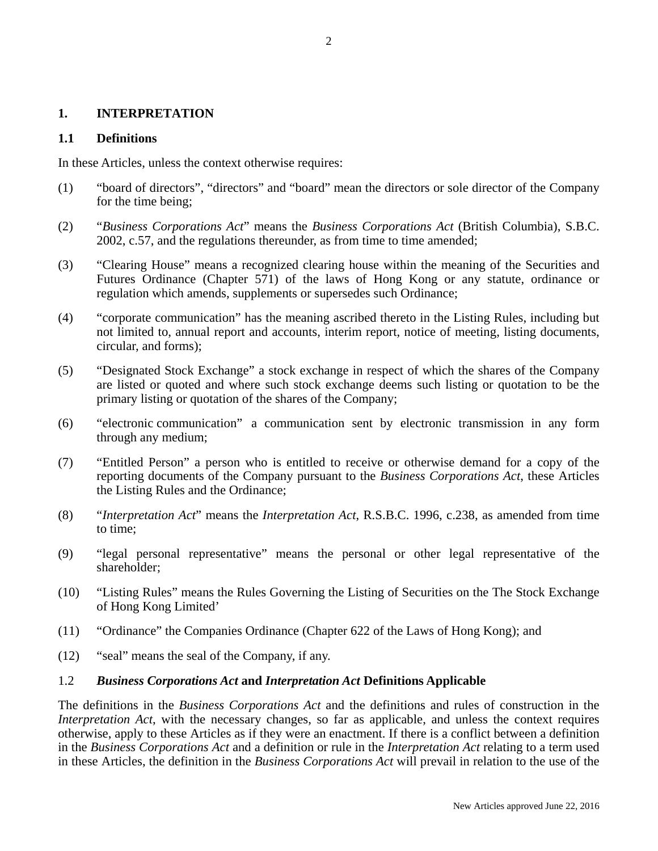#### **1. INTERPRETATION**

#### **1.1 Definitions**

In these Articles, unless the context otherwise requires:

- (1) "board of directors", "directors" and "board" mean the directors or sole director of the Company for the time being;
- (2) "*Business Corporations Act*" means the *Business Corporations Act* (British Columbia), S.B.C. 2002, c.57, and the regulations thereunder, as from time to time amended;
- (3) "Clearing House" means a recognized clearing house within the meaning of the Securities and Futures Ordinance (Chapter 571) of the laws of Hong Kong or any statute, ordinance or regulation which amends, supplements or supersedes such Ordinance;
- (4) "corporate communication" has the meaning ascribed thereto in the Listing Rules, including but not limited to, annual report and accounts, interim report, notice of meeting, listing documents, circular, and forms);
- (5) "Designated Stock Exchange" a stock exchange in respect of which the shares of the Company are listed or quoted and where such stock exchange deems such listing or quotation to be the primary listing or quotation of the shares of the Company;
- (6) "electronic communication" a communication sent by electronic transmission in any form through any medium;
- (7) "Entitled Person" a person who is entitled to receive or otherwise demand for a copy of the reporting documents of the Company pursuant to the *Business Corporations Act*, these Articles the Listing Rules and the Ordinance;
- (8) "*Interpretation Act*" means the *Interpretation Act*, R.S.B.C. 1996, c.238, as amended from time to time;
- (9) "legal personal representative" means the personal or other legal representative of the shareholder;
- (10) "Listing Rules" means the Rules Governing the Listing of Securities on the The Stock Exchange of Hong Kong Limited'
- (11) "Ordinance" the Companies Ordinance (Chapter 622 of the Laws of Hong Kong); and
- (12) "seal" means the seal of the Company, if any.

### 1.2 *Business Corporations Act* **and** *Interpretation Act* **Definitions Applicable**

The definitions in the *Business Corporations Act* and the definitions and rules of construction in the *Interpretation Act*, with the necessary changes, so far as applicable, and unless the context requires otherwise, apply to these Articles as if they were an enactment. If there is a conflict between a definition in the *Business Corporations Act* and a definition or rule in the *Interpretation Act* relating to a term used in these Articles, the definition in the *Business Corporations Act* will prevail in relation to the use of the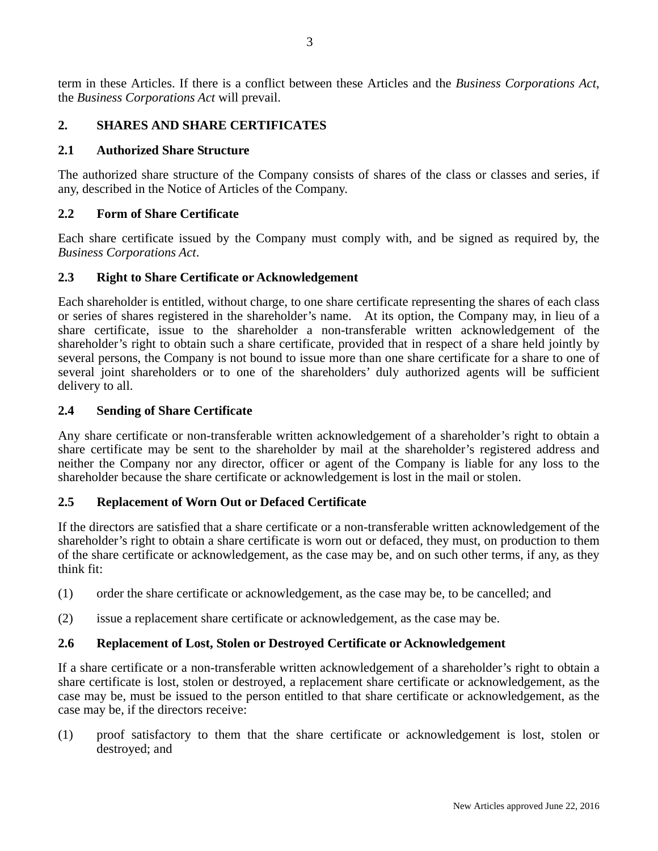term in these Articles. If there is a conflict between these Articles and the *Business Corporations Act*, the *Business Corporations Act* will prevail.

# **2. SHARES AND SHARE CERTIFICATES**

#### **2.1 Authorized Share Structure**

The authorized share structure of the Company consists of shares of the class or classes and series, if any, described in the Notice of Articles of the Company.

### **2.2 Form of Share Certificate**

Each share certificate issued by the Company must comply with, and be signed as required by, the *Business Corporations Act*.

#### **2.3 Right to Share Certificate or Acknowledgement**

Each shareholder is entitled, without charge, to one share certificate representing the shares of each class or series of shares registered in the shareholder's name. At its option, the Company may, in lieu of a share certificate, issue to the shareholder a non-transferable written acknowledgement of the shareholder's right to obtain such a share certificate, provided that in respect of a share held jointly by several persons, the Company is not bound to issue more than one share certificate for a share to one of several joint shareholders or to one of the shareholders' duly authorized agents will be sufficient delivery to all.

#### **2.4 Sending of Share Certificate**

Any share certificate or non-transferable written acknowledgement of a shareholder's right to obtain a share certificate may be sent to the shareholder by mail at the shareholder's registered address and neither the Company nor any director, officer or agent of the Company is liable for any loss to the shareholder because the share certificate or acknowledgement is lost in the mail or stolen.

### **2.5 Replacement of Worn Out or Defaced Certificate**

If the directors are satisfied that a share certificate or a non-transferable written acknowledgement of the shareholder's right to obtain a share certificate is worn out or defaced, they must, on production to them of the share certificate or acknowledgement, as the case may be, and on such other terms, if any, as they think fit:

- (1) order the share certificate or acknowledgement, as the case may be, to be cancelled; and
- (2) issue a replacement share certificate or acknowledgement, as the case may be.

#### **2.6 Replacement of Lost, Stolen or Destroyed Certificate or Acknowledgement**

If a share certificate or a non-transferable written acknowledgement of a shareholder's right to obtain a share certificate is lost, stolen or destroyed, a replacement share certificate or acknowledgement, as the case may be, must be issued to the person entitled to that share certificate or acknowledgement, as the case may be, if the directors receive:

(1) proof satisfactory to them that the share certificate or acknowledgement is lost, stolen or destroyed; and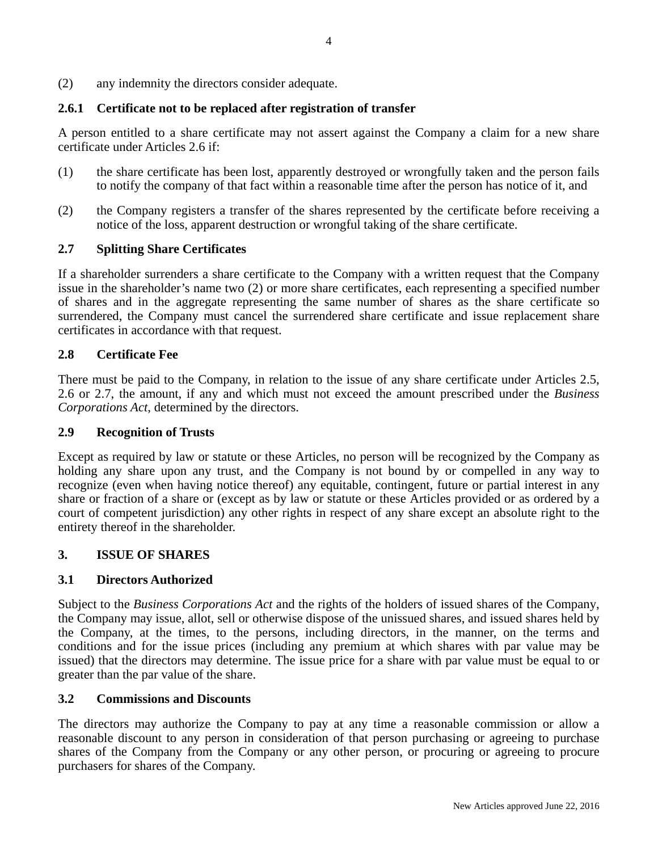(2) any indemnity the directors consider adequate.

# **2.6.1 Certificate not to be replaced after registration of transfer**

A person entitled to a share certificate may not assert against the Company a claim for a new share certificate under Articles 2.6 if:

- (1) the share certificate has been lost, apparently destroyed or wrongfully taken and the person fails to notify the company of that fact within a reasonable time after the person has notice of it, and
- (2) the Company registers a transfer of the shares represented by the certificate before receiving a notice of the loss, apparent destruction or wrongful taking of the share certificate.

# **2.7 Splitting Share Certificates**

If a shareholder surrenders a share certificate to the Company with a written request that the Company issue in the shareholder's name two (2) or more share certificates, each representing a specified number of shares and in the aggregate representing the same number of shares as the share certificate so surrendered, the Company must cancel the surrendered share certificate and issue replacement share certificates in accordance with that request.

# **2.8 Certificate Fee**

There must be paid to the Company, in relation to the issue of any share certificate under Articles 2.5, 2.6 or 2.7, the amount, if any and which must not exceed the amount prescribed under the *Business Corporations Act*, determined by the directors.

### **2.9 Recognition of Trusts**

Except as required by law or statute or these Articles, no person will be recognized by the Company as holding any share upon any trust, and the Company is not bound by or compelled in any way to recognize (even when having notice thereof) any equitable, contingent, future or partial interest in any share or fraction of a share or (except as by law or statute or these Articles provided or as ordered by a court of competent jurisdiction) any other rights in respect of any share except an absolute right to the entirety thereof in the shareholder.

### **3. ISSUE OF SHARES**

### **3.1 Directors Authorized**

Subject to the *Business Corporations Act* and the rights of the holders of issued shares of the Company, the Company may issue, allot, sell or otherwise dispose of the unissued shares, and issued shares held by the Company, at the times, to the persons, including directors, in the manner, on the terms and conditions and for the issue prices (including any premium at which shares with par value may be issued) that the directors may determine. The issue price for a share with par value must be equal to or greater than the par value of the share.

### **3.2 Commissions and Discounts**

The directors may authorize the Company to pay at any time a reasonable commission or allow a reasonable discount to any person in consideration of that person purchasing or agreeing to purchase shares of the Company from the Company or any other person, or procuring or agreeing to procure purchasers for shares of the Company.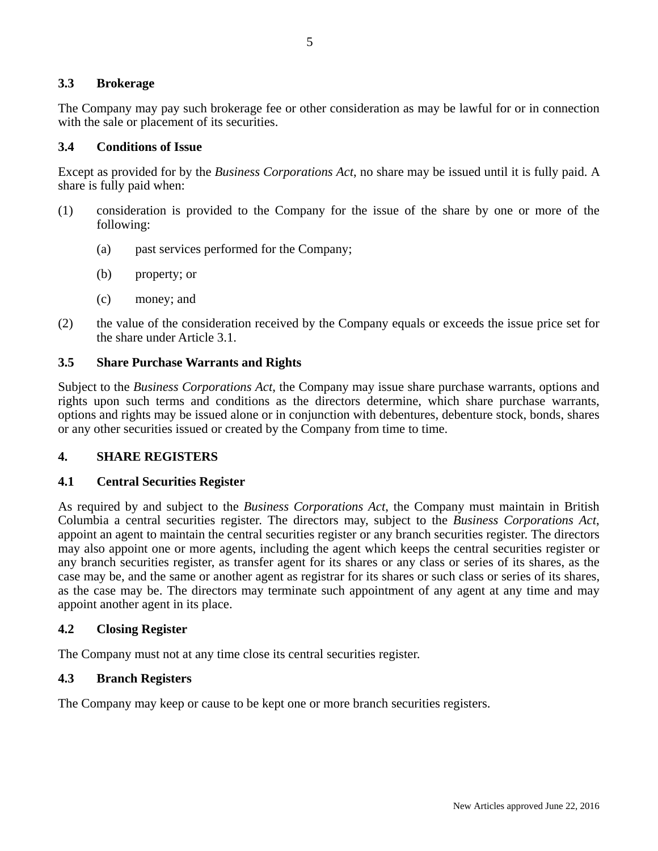#### **3.3 Brokerage**

The Company may pay such brokerage fee or other consideration as may be lawful for or in connection with the sale or placement of its securities.

#### **3.4 Conditions of Issue**

Except as provided for by the *Business Corporations Act*, no share may be issued until it is fully paid. A share is fully paid when:

- (1) consideration is provided to the Company for the issue of the share by one or more of the following:
	- (a) past services performed for the Company;
	- (b) property; or
	- (c) money; and
- (2) the value of the consideration received by the Company equals or exceeds the issue price set for the share under Article 3.1.

#### **3.5 Share Purchase Warrants and Rights**

Subject to the *Business Corporations Act*, the Company may issue share purchase warrants, options and rights upon such terms and conditions as the directors determine, which share purchase warrants, options and rights may be issued alone or in conjunction with debentures, debenture stock, bonds, shares or any other securities issued or created by the Company from time to time.

#### **4. SHARE REGISTERS**

#### **4.1 Central Securities Register**

As required by and subject to the *Business Corporations Act*, the Company must maintain in British Columbia a central securities register. The directors may, subject to the *Business Corporations Act*, appoint an agent to maintain the central securities register or any branch securities register. The directors may also appoint one or more agents, including the agent which keeps the central securities register or any branch securities register, as transfer agent for its shares or any class or series of its shares, as the case may be, and the same or another agent as registrar for its shares or such class or series of its shares, as the case may be. The directors may terminate such appointment of any agent at any time and may appoint another agent in its place.

#### **4.2 Closing Register**

The Company must not at any time close its central securities register.

#### **4.3 Branch Registers**

The Company may keep or cause to be kept one or more branch securities registers.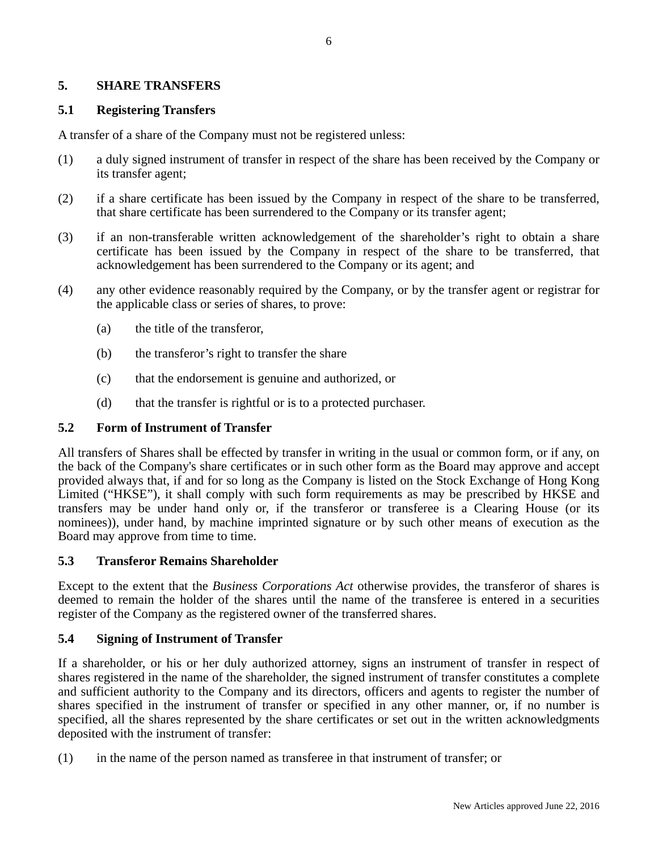### **5. SHARE TRANSFERS**

#### **5.1 Registering Transfers**

A transfer of a share of the Company must not be registered unless:

- (1) a duly signed instrument of transfer in respect of the share has been received by the Company or its transfer agent;
- (2) if a share certificate has been issued by the Company in respect of the share to be transferred, that share certificate has been surrendered to the Company or its transfer agent;
- (3) if an non-transferable written acknowledgement of the shareholder's right to obtain a share certificate has been issued by the Company in respect of the share to be transferred, that acknowledgement has been surrendered to the Company or its agent; and
- (4) any other evidence reasonably required by the Company, or by the transfer agent or registrar for the applicable class or series of shares, to prove:
	- (a) the title of the transferor,
	- (b) the transferor's right to transfer the share
	- (c) that the endorsement is genuine and authorized, or
	- (d) that the transfer is rightful or is to a protected purchaser.

#### **5.2 Form of Instrument of Transfer**

All transfers of Shares shall be effected by transfer in writing in the usual or common form, or if any, on the back of the Company's share certificates or in such other form as the Board may approve and accept provided always that, if and for so long as the Company is listed on the Stock Exchange of Hong Kong Limited ("HKSE"), it shall comply with such form requirements as may be prescribed by HKSE and transfers may be under hand only or, if the transferor or transferee is a Clearing House (or its nominees)), under hand, by machine imprinted signature or by such other means of execution as the Board may approve from time to time.

#### **5.3 Transferor Remains Shareholder**

Except to the extent that the *Business Corporations Act* otherwise provides, the transferor of shares is deemed to remain the holder of the shares until the name of the transferee is entered in a securities register of the Company as the registered owner of the transferred shares.

### **5.4 Signing of Instrument of Transfer**

If a shareholder, or his or her duly authorized attorney, signs an instrument of transfer in respect of shares registered in the name of the shareholder, the signed instrument of transfer constitutes a complete and sufficient authority to the Company and its directors, officers and agents to register the number of shares specified in the instrument of transfer or specified in any other manner, or, if no number is specified, all the shares represented by the share certificates or set out in the written acknowledgments deposited with the instrument of transfer:

(1) in the name of the person named as transferee in that instrument of transfer; or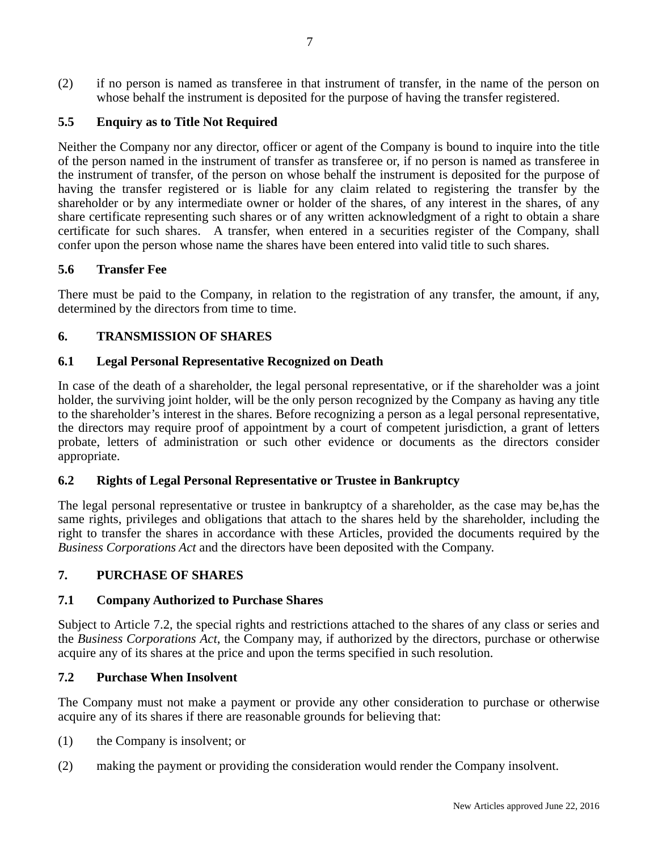(2) if no person is named as transferee in that instrument of transfer, in the name of the person on whose behalf the instrument is deposited for the purpose of having the transfer registered.

# **5.5 Enquiry as to Title Not Required**

Neither the Company nor any director, officer or agent of the Company is bound to inquire into the title of the person named in the instrument of transfer as transferee or, if no person is named as transferee in the instrument of transfer, of the person on whose behalf the instrument is deposited for the purpose of having the transfer registered or is liable for any claim related to registering the transfer by the shareholder or by any intermediate owner or holder of the shares, of any interest in the shares, of any share certificate representing such shares or of any written acknowledgment of a right to obtain a share certificate for such shares. A transfer, when entered in a securities register of the Company, shall confer upon the person whose name the shares have been entered into valid title to such shares.

### **5.6 Transfer Fee**

There must be paid to the Company, in relation to the registration of any transfer, the amount, if any, determined by the directors from time to time.

# **6. TRANSMISSION OF SHARES**

### **6.1 Legal Personal Representative Recognized on Death**

In case of the death of a shareholder, the legal personal representative, or if the shareholder was a joint holder, the surviving joint holder, will be the only person recognized by the Company as having any title to the shareholder's interest in the shares. Before recognizing a person as a legal personal representative, the directors may require proof of appointment by a court of competent jurisdiction, a grant of letters probate, letters of administration or such other evidence or documents as the directors consider appropriate.

### **6.2 Rights of Legal Personal Representative or Trustee in Bankruptcy**

The legal personal representative or trustee in bankruptcy of a shareholder, as the case may be,has the same rights, privileges and obligations that attach to the shares held by the shareholder, including the right to transfer the shares in accordance with these Articles, provided the documents required by the *Business Corporations Act* and the directors have been deposited with the Company.

### **7. PURCHASE OF SHARES**

### **7.1 Company Authorized to Purchase Shares**

Subject to Article 7.2, the special rights and restrictions attached to the shares of any class or series and the *Business Corporations Act*, the Company may, if authorized by the directors, purchase or otherwise acquire any of its shares at the price and upon the terms specified in such resolution.

#### **7.2 Purchase When Insolvent**

The Company must not make a payment or provide any other consideration to purchase or otherwise acquire any of its shares if there are reasonable grounds for believing that:

- (1) the Company is insolvent; or
- (2) making the payment or providing the consideration would render the Company insolvent.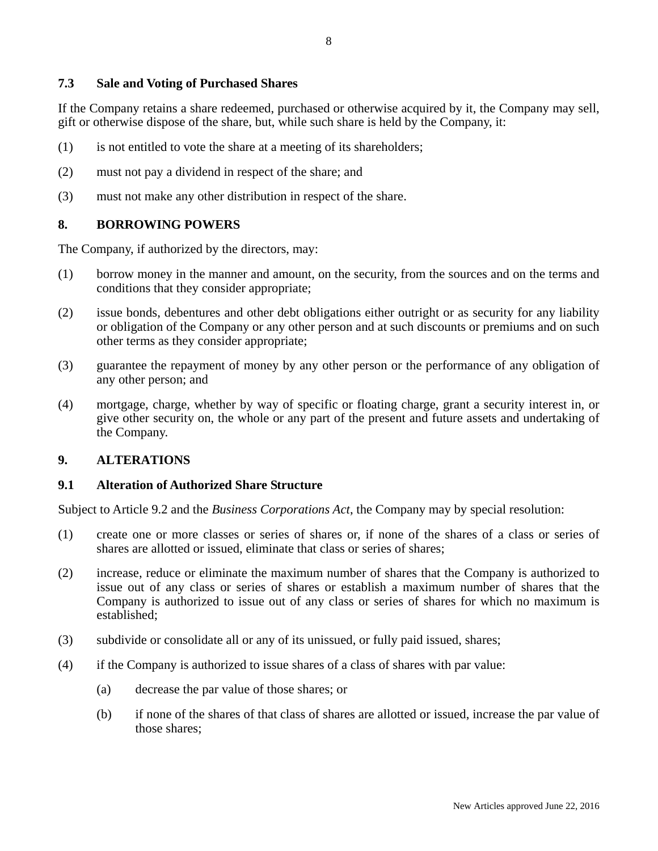#### **7.3 Sale and Voting of Purchased Shares**

If the Company retains a share redeemed, purchased or otherwise acquired by it, the Company may sell, gift or otherwise dispose of the share, but, while such share is held by the Company, it:

- (1) is not entitled to vote the share at a meeting of its shareholders;
- (2) must not pay a dividend in respect of the share; and
- (3) must not make any other distribution in respect of the share.

### **8. BORROWING POWERS**

The Company, if authorized by the directors, may:

- (1) borrow money in the manner and amount, on the security, from the sources and on the terms and conditions that they consider appropriate;
- (2) issue bonds, debentures and other debt obligations either outright or as security for any liability or obligation of the Company or any other person and at such discounts or premiums and on such other terms as they consider appropriate;
- (3) guarantee the repayment of money by any other person or the performance of any obligation of any other person; and
- (4) mortgage, charge, whether by way of specific or floating charge, grant a security interest in, or give other security on, the whole or any part of the present and future assets and undertaking of the Company.

#### **9. ALTERATIONS**

#### **9.1 Alteration of Authorized Share Structure**

Subject to Article 9.2 and the *Business Corporations Act*, the Company may by special resolution:

- (1) create one or more classes or series of shares or, if none of the shares of a class or series of shares are allotted or issued, eliminate that class or series of shares;
- (2) increase, reduce or eliminate the maximum number of shares that the Company is authorized to issue out of any class or series of shares or establish a maximum number of shares that the Company is authorized to issue out of any class or series of shares for which no maximum is established;
- (3) subdivide or consolidate all or any of its unissued, or fully paid issued, shares;
- (4) if the Company is authorized to issue shares of a class of shares with par value:
	- (a) decrease the par value of those shares; or
	- (b) if none of the shares of that class of shares are allotted or issued, increase the par value of those shares;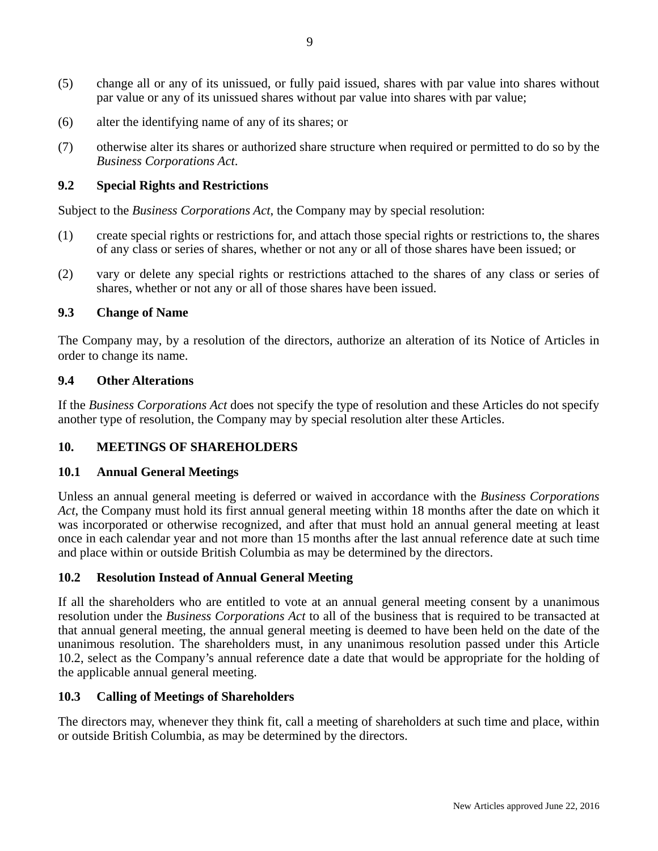- (5) change all or any of its unissued, or fully paid issued, shares with par value into shares without par value or any of its unissued shares without par value into shares with par value;
- (6) alter the identifying name of any of its shares; or
- (7) otherwise alter its shares or authorized share structure when required or permitted to do so by the *Business Corporations Act*.

# **9.2 Special Rights and Restrictions**

Subject to the *Business Corporations Act*, the Company may by special resolution:

- (1) create special rights or restrictions for, and attach those special rights or restrictions to, the shares of any class or series of shares, whether or not any or all of those shares have been issued; or
- (2) vary or delete any special rights or restrictions attached to the shares of any class or series of shares, whether or not any or all of those shares have been issued.

### **9.3 Change of Name**

The Company may, by a resolution of the directors, authorize an alteration of its Notice of Articles in order to change its name.

### **9.4 Other Alterations**

If the *Business Corporations Act* does not specify the type of resolution and these Articles do not specify another type of resolution, the Company may by special resolution alter these Articles.

# **10. MEETINGS OF SHAREHOLDERS**

### **10.1 Annual General Meetings**

Unless an annual general meeting is deferred or waived in accordance with the *Business Corporations Act*, the Company must hold its first annual general meeting within 18 months after the date on which it was incorporated or otherwise recognized, and after that must hold an annual general meeting at least once in each calendar year and not more than 15 months after the last annual reference date at such time and place within or outside British Columbia as may be determined by the directors.

### **10.2 Resolution Instead of Annual General Meeting**

If all the shareholders who are entitled to vote at an annual general meeting consent by a unanimous resolution under the *Business Corporations Act* to all of the business that is required to be transacted at that annual general meeting, the annual general meeting is deemed to have been held on the date of the unanimous resolution. The shareholders must, in any unanimous resolution passed under this Article 10.2, select as the Company's annual reference date a date that would be appropriate for the holding of the applicable annual general meeting.

### **10.3 Calling of Meetings of Shareholders**

The directors may, whenever they think fit, call a meeting of shareholders at such time and place, within or outside British Columbia, as may be determined by the directors.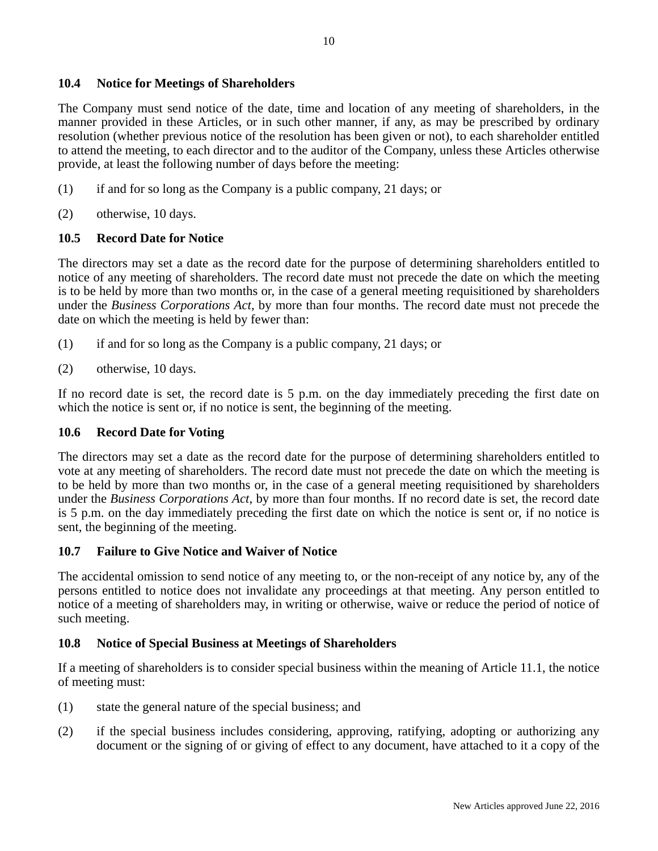### **10.4 Notice for Meetings of Shareholders**

The Company must send notice of the date, time and location of any meeting of shareholders, in the manner provided in these Articles, or in such other manner, if any, as may be prescribed by ordinary resolution (whether previous notice of the resolution has been given or not), to each shareholder entitled to attend the meeting, to each director and to the auditor of the Company, unless these Articles otherwise provide, at least the following number of days before the meeting:

- (1) if and for so long as the Company is a public company, 21 days; or
- (2) otherwise, 10 days.

# **10.5 Record Date for Notice**

The directors may set a date as the record date for the purpose of determining shareholders entitled to notice of any meeting of shareholders. The record date must not precede the date on which the meeting is to be held by more than two months or, in the case of a general meeting requisitioned by shareholders under the *Business Corporations Act*, by more than four months. The record date must not precede the date on which the meeting is held by fewer than:

- (1) if and for so long as the Company is a public company, 21 days; or
- (2) otherwise, 10 days.

If no record date is set, the record date is 5 p.m. on the day immediately preceding the first date on which the notice is sent or, if no notice is sent, the beginning of the meeting.

### **10.6 Record Date for Voting**

The directors may set a date as the record date for the purpose of determining shareholders entitled to vote at any meeting of shareholders. The record date must not precede the date on which the meeting is to be held by more than two months or, in the case of a general meeting requisitioned by shareholders under the *Business Corporations Act*, by more than four months. If no record date is set, the record date is 5 p.m. on the day immediately preceding the first date on which the notice is sent or, if no notice is sent, the beginning of the meeting.

### **10.7 Failure to Give Notice and Waiver of Notice**

The accidental omission to send notice of any meeting to, or the non-receipt of any notice by, any of the persons entitled to notice does not invalidate any proceedings at that meeting. Any person entitled to notice of a meeting of shareholders may, in writing or otherwise, waive or reduce the period of notice of such meeting.

### **10.8 Notice of Special Business at Meetings of Shareholders**

If a meeting of shareholders is to consider special business within the meaning of Article 11.1, the notice of meeting must:

- (1) state the general nature of the special business; and
- (2) if the special business includes considering, approving, ratifying, adopting or authorizing any document or the signing of or giving of effect to any document, have attached to it a copy of the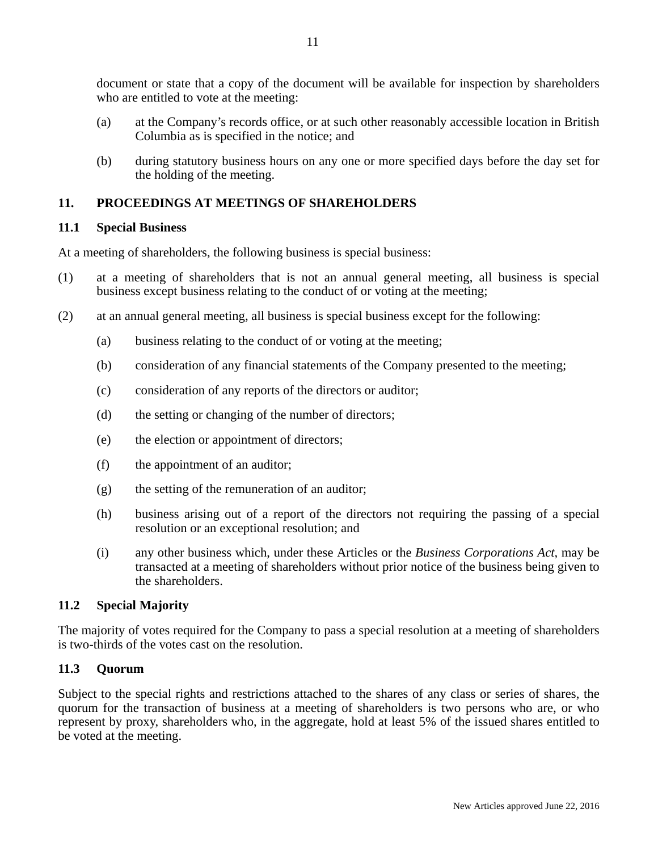document or state that a copy of the document will be available for inspection by shareholders who are entitled to vote at the meeting:

- (a) at the Company's records office, or at such other reasonably accessible location in British Columbia as is specified in the notice; and
- (b) during statutory business hours on any one or more specified days before the day set for the holding of the meeting.

## **11. PROCEEDINGS AT MEETINGS OF SHAREHOLDERS**

#### **11.1 Special Business**

At a meeting of shareholders, the following business is special business:

- (1) at a meeting of shareholders that is not an annual general meeting, all business is special business except business relating to the conduct of or voting at the meeting;
- (2) at an annual general meeting, all business is special business except for the following:
	- (a) business relating to the conduct of or voting at the meeting;
	- (b) consideration of any financial statements of the Company presented to the meeting;
	- (c) consideration of any reports of the directors or auditor;
	- (d) the setting or changing of the number of directors;
	- (e) the election or appointment of directors;
	- (f) the appointment of an auditor;
	- (g) the setting of the remuneration of an auditor;
	- (h) business arising out of a report of the directors not requiring the passing of a special resolution or an exceptional resolution; and
	- (i) any other business which, under these Articles or the *Business Corporations Act*, may be transacted at a meeting of shareholders without prior notice of the business being given to the shareholders.

### **11.2 Special Majority**

The majority of votes required for the Company to pass a special resolution at a meeting of shareholders is two-thirds of the votes cast on the resolution.

### **11.3 Quorum**

Subject to the special rights and restrictions attached to the shares of any class or series of shares, the quorum for the transaction of business at a meeting of shareholders is two persons who are, or who represent by proxy, shareholders who, in the aggregate, hold at least 5% of the issued shares entitled to be voted at the meeting.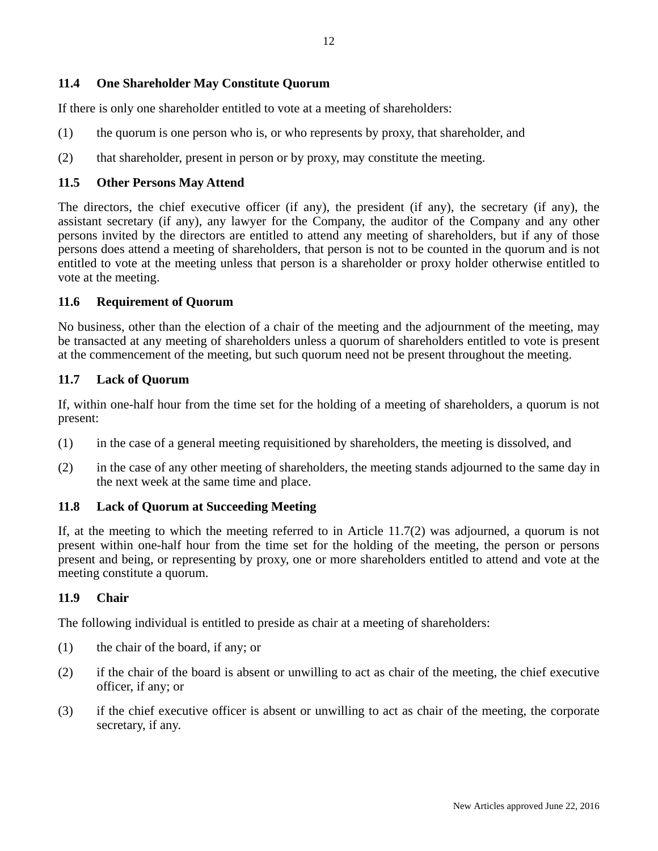### **11.4 One Shareholder May Constitute Quorum**

If there is only one shareholder entitled to vote at a meeting of shareholders:

- (1) the quorum is one person who is, or who represents by proxy, that shareholder, and
- (2) that shareholder, present in person or by proxy, may constitute the meeting.

#### **11.5 Other Persons May Attend**

The directors, the chief executive officer (if any), the president (if any), the secretary (if any), the assistant secretary (if any), any lawyer for the Company, the auditor of the Company and any other persons invited by the directors are entitled to attend any meeting of shareholders, but if any of those persons does attend a meeting of shareholders, that person is not to be counted in the quorum and is not entitled to vote at the meeting unless that person is a shareholder or proxy holder otherwise entitled to vote at the meeting.

### **11.6 Requirement of Quorum**

No business, other than the election of a chair of the meeting and the adjournment of the meeting, may be transacted at any meeting of shareholders unless a quorum of shareholders entitled to vote is present at the commencement of the meeting, but such quorum need not be present throughout the meeting.

#### **11.7 Lack of Quorum**

If, within one-half hour from the time set for the holding of a meeting of shareholders, a quorum is not present:

- (1) in the case of a general meeting requisitioned by shareholders, the meeting is dissolved, and
- (2) in the case of any other meeting of shareholders, the meeting stands adjourned to the same day in the next week at the same time and place.

### **11.8 Lack of Quorum at Succeeding Meeting**

If, at the meeting to which the meeting referred to in Article 11.7(2) was adjourned, a quorum is not present within one-half hour from the time set for the holding of the meeting, the person or persons present and being, or representing by proxy, one or more shareholders entitled to attend and vote at the meeting constitute a quorum.

#### **11.9 Chair**

The following individual is entitled to preside as chair at a meeting of shareholders:

- (1) the chair of the board, if any; or
- (2) if the chair of the board is absent or unwilling to act as chair of the meeting, the chief executive officer, if any; or
- (3) if the chief executive officer is absent or unwilling to act as chair of the meeting, the corporate secretary, if any.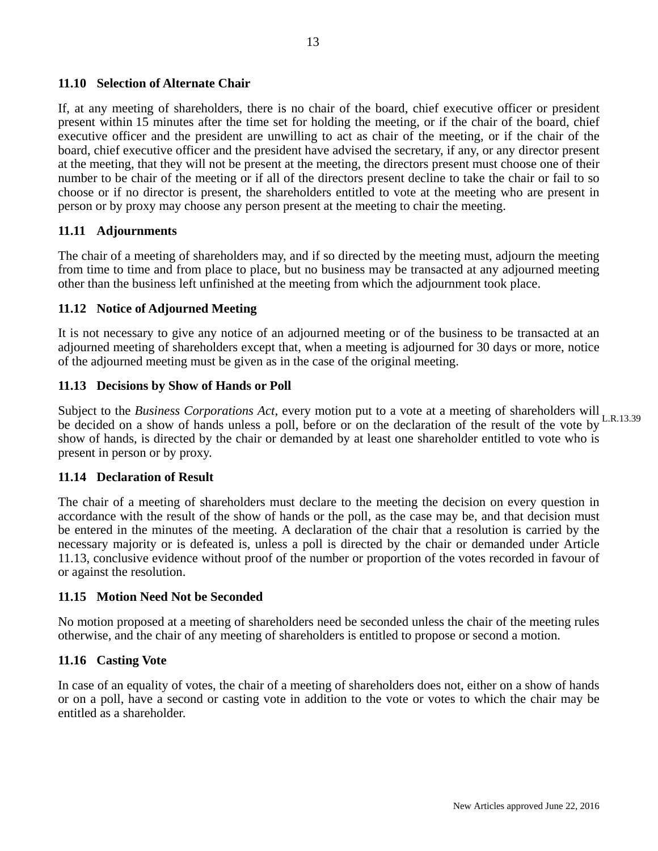#### **11.10 Selection of Alternate Chair**

If, at any meeting of shareholders, there is no chair of the board, chief executive officer or president present within 15 minutes after the time set for holding the meeting, or if the chair of the board, chief executive officer and the president are unwilling to act as chair of the meeting, or if the chair of the board, chief executive officer and the president have advised the secretary, if any, or any director present at the meeting, that they will not be present at the meeting, the directors present must choose one of their number to be chair of the meeting or if all of the directors present decline to take the chair or fail to so choose or if no director is present, the shareholders entitled to vote at the meeting who are present in person or by proxy may choose any person present at the meeting to chair the meeting.

#### **11.11 Adjournments**

The chair of a meeting of shareholders may, and if so directed by the meeting must, adjourn the meeting from time to time and from place to place, but no business may be transacted at any adjourned meeting other than the business left unfinished at the meeting from which the adjournment took place.

#### **11.12 Notice of Adjourned Meeting**

It is not necessary to give any notice of an adjourned meeting or of the business to be transacted at an adjourned meeting of shareholders except that, when a meeting is adjourned for 30 days or more, notice of the adjourned meeting must be given as in the case of the original meeting.

#### **11.13 Decisions by Show of Hands or Poll**

Subject to the *Business Corporations Act*, every motion put to a vote at a meeting of shareholders will L.R.13.39 be decided on a show of hands unless a poll, before or on the declaration of the result of the vote by show of hands, is directed by the chair or demanded by at least one shareholder entitled to vote who is present in person or by proxy.

#### **11.14 Declaration of Result**

The chair of a meeting of shareholders must declare to the meeting the decision on every question in accordance with the result of the show of hands or the poll, as the case may be, and that decision must be entered in the minutes of the meeting. A declaration of the chair that a resolution is carried by the necessary majority or is defeated is, unless a poll is directed by the chair or demanded under Article 11.13, conclusive evidence without proof of the number or proportion of the votes recorded in favour of or against the resolution.

#### **11.15 Motion Need Not be Seconded**

No motion proposed at a meeting of shareholders need be seconded unless the chair of the meeting rules otherwise, and the chair of any meeting of shareholders is entitled to propose or second a motion.

#### **11.16 Casting Vote**

In case of an equality of votes, the chair of a meeting of shareholders does not, either on a show of hands or on a poll, have a second or casting vote in addition to the vote or votes to which the chair may be entitled as a shareholder.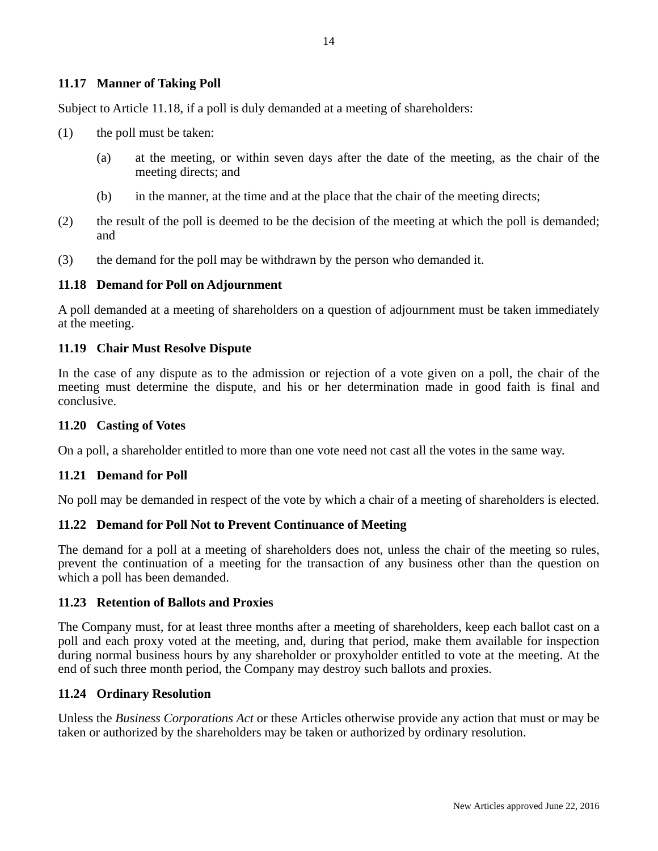#### **11.17 Manner of Taking Poll**

Subject to Article 11.18, if a poll is duly demanded at a meeting of shareholders:

- (1) the poll must be taken:
	- (a) at the meeting, or within seven days after the date of the meeting, as the chair of the meeting directs; and
	- (b) in the manner, at the time and at the place that the chair of the meeting directs;
- (2) the result of the poll is deemed to be the decision of the meeting at which the poll is demanded; and
- (3) the demand for the poll may be withdrawn by the person who demanded it.

#### **11.18 Demand for Poll on Adjournment**

A poll demanded at a meeting of shareholders on a question of adjournment must be taken immediately at the meeting.

#### **11.19 Chair Must Resolve Dispute**

In the case of any dispute as to the admission or rejection of a vote given on a poll, the chair of the meeting must determine the dispute, and his or her determination made in good faith is final and conclusive.

#### **11.20 Casting of Votes**

On a poll, a shareholder entitled to more than one vote need not cast all the votes in the same way.

#### **11.21 Demand for Poll**

No poll may be demanded in respect of the vote by which a chair of a meeting of shareholders is elected.

#### **11.22 Demand for Poll Not to Prevent Continuance of Meeting**

The demand for a poll at a meeting of shareholders does not, unless the chair of the meeting so rules, prevent the continuation of a meeting for the transaction of any business other than the question on which a poll has been demanded.

#### **11.23 Retention of Ballots and Proxies**

The Company must, for at least three months after a meeting of shareholders, keep each ballot cast on a poll and each proxy voted at the meeting, and, during that period, make them available for inspection during normal business hours by any shareholder or proxyholder entitled to vote at the meeting. At the end of such three month period, the Company may destroy such ballots and proxies.

#### **11.24 Ordinary Resolution**

Unless the *Business Corporations Act* or these Articles otherwise provide any action that must or may be taken or authorized by the shareholders may be taken or authorized by ordinary resolution.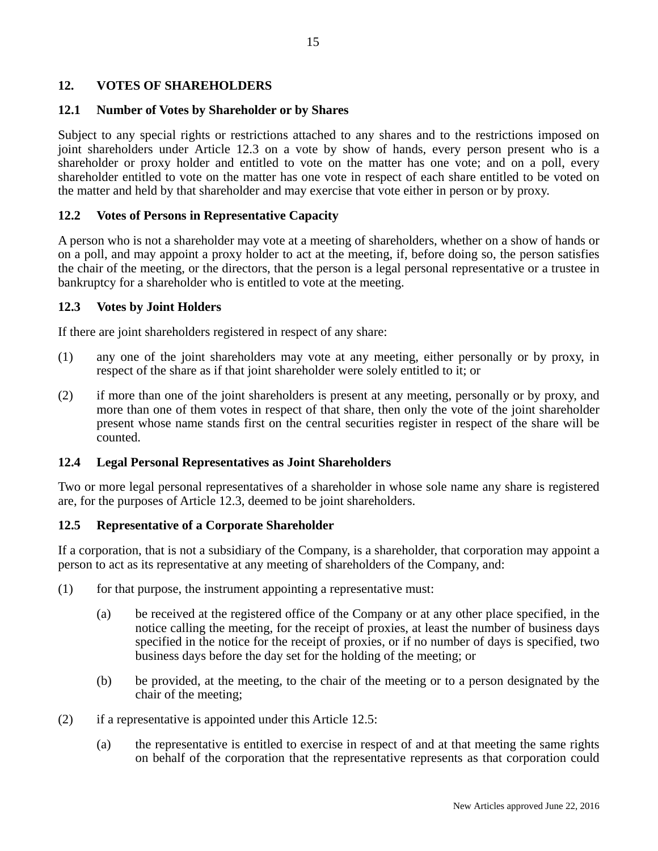### **12. VOTES OF SHAREHOLDERS**

#### **12.1 Number of Votes by Shareholder or by Shares**

Subject to any special rights or restrictions attached to any shares and to the restrictions imposed on joint shareholders under Article 12.3 on a vote by show of hands, every person present who is a shareholder or proxy holder and entitled to vote on the matter has one vote; and on a poll, every shareholder entitled to vote on the matter has one vote in respect of each share entitled to be voted on the matter and held by that shareholder and may exercise that vote either in person or by proxy.

#### **12.2 Votes of Persons in Representative Capacity**

A person who is not a shareholder may vote at a meeting of shareholders, whether on a show of hands or on a poll, and may appoint a proxy holder to act at the meeting, if, before doing so, the person satisfies the chair of the meeting, or the directors, that the person is a legal personal representative or a trustee in bankruptcy for a shareholder who is entitled to vote at the meeting.

#### **12.3 Votes by Joint Holders**

If there are joint shareholders registered in respect of any share:

- (1) any one of the joint shareholders may vote at any meeting, either personally or by proxy, in respect of the share as if that joint shareholder were solely entitled to it; or
- (2) if more than one of the joint shareholders is present at any meeting, personally or by proxy, and more than one of them votes in respect of that share, then only the vote of the joint shareholder present whose name stands first on the central securities register in respect of the share will be counted.

#### **12.4 Legal Personal Representatives as Joint Shareholders**

Two or more legal personal representatives of a shareholder in whose sole name any share is registered are, for the purposes of Article 12.3, deemed to be joint shareholders.

# **12.5 Representative of a Corporate Shareholder**

If a corporation, that is not a subsidiary of the Company, is a shareholder, that corporation may appoint a person to act as its representative at any meeting of shareholders of the Company, and:

- (1) for that purpose, the instrument appointing a representative must:
	- (a) be received at the registered office of the Company or at any other place specified, in the notice calling the meeting, for the receipt of proxies, at least the number of business days specified in the notice for the receipt of proxies, or if no number of days is specified, two business days before the day set for the holding of the meeting; or
	- (b) be provided, at the meeting, to the chair of the meeting or to a person designated by the chair of the meeting;
- (2) if a representative is appointed under this Article 12.5:
	- (a) the representative is entitled to exercise in respect of and at that meeting the same rights on behalf of the corporation that the representative represents as that corporation could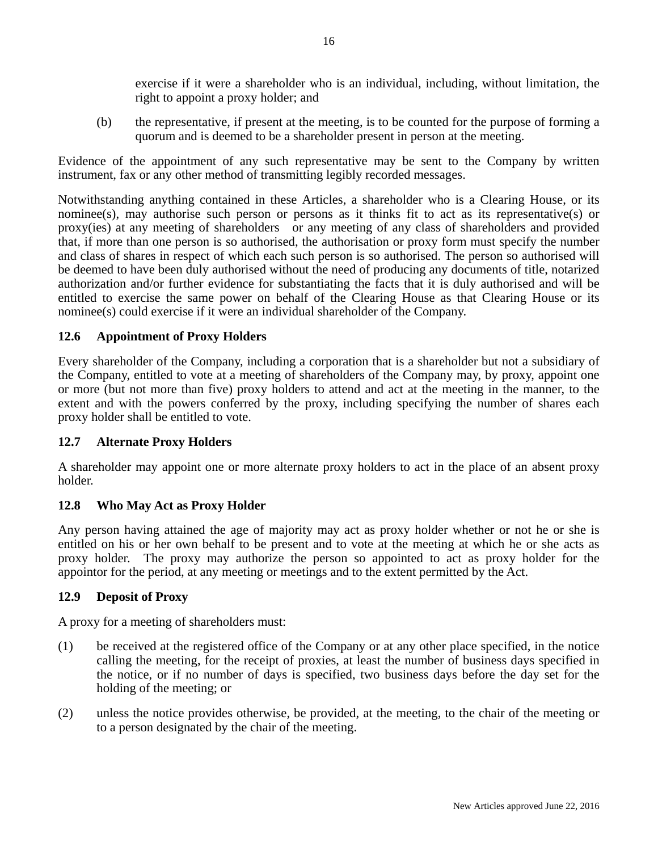exercise if it were a shareholder who is an individual, including, without limitation, the right to appoint a proxy holder; and

(b) the representative, if present at the meeting, is to be counted for the purpose of forming a quorum and is deemed to be a shareholder present in person at the meeting.

Evidence of the appointment of any such representative may be sent to the Company by written instrument, fax or any other method of transmitting legibly recorded messages.

Notwithstanding anything contained in these Articles, a shareholder who is a Clearing House, or its nominee(s), may authorise such person or persons as it thinks fit to act as its representative(s) or proxy(ies) at any meeting of shareholders or any meeting of any class of shareholders and provided that, if more than one person is so authorised, the authorisation or proxy form must specify the number and class of shares in respect of which each such person is so authorised. The person so authorised will be deemed to have been duly authorised without the need of producing any documents of title, notarized authorization and/or further evidence for substantiating the facts that it is duly authorised and will be entitled to exercise the same power on behalf of the Clearing House as that Clearing House or its nominee(s) could exercise if it were an individual shareholder of the Company.

# **12.6 Appointment of Proxy Holders**

Every shareholder of the Company, including a corporation that is a shareholder but not a subsidiary of the Company, entitled to vote at a meeting of shareholders of the Company may, by proxy, appoint one or more (but not more than five) proxy holders to attend and act at the meeting in the manner, to the extent and with the powers conferred by the proxy, including specifying the number of shares each proxy holder shall be entitled to vote.

### **12.7 Alternate Proxy Holders**

A shareholder may appoint one or more alternate proxy holders to act in the place of an absent proxy holder.

### **12.8 Who May Act as Proxy Holder**

Any person having attained the age of majority may act as proxy holder whether or not he or she is entitled on his or her own behalf to be present and to vote at the meeting at which he or she acts as proxy holder. The proxy may authorize the person so appointed to act as proxy holder for the appointor for the period, at any meeting or meetings and to the extent permitted by the Act.

### **12.9 Deposit of Proxy**

A proxy for a meeting of shareholders must:

- (1) be received at the registered office of the Company or at any other place specified, in the notice calling the meeting, for the receipt of proxies, at least the number of business days specified in the notice, or if no number of days is specified, two business days before the day set for the holding of the meeting; or
- (2) unless the notice provides otherwise, be provided, at the meeting, to the chair of the meeting or to a person designated by the chair of the meeting.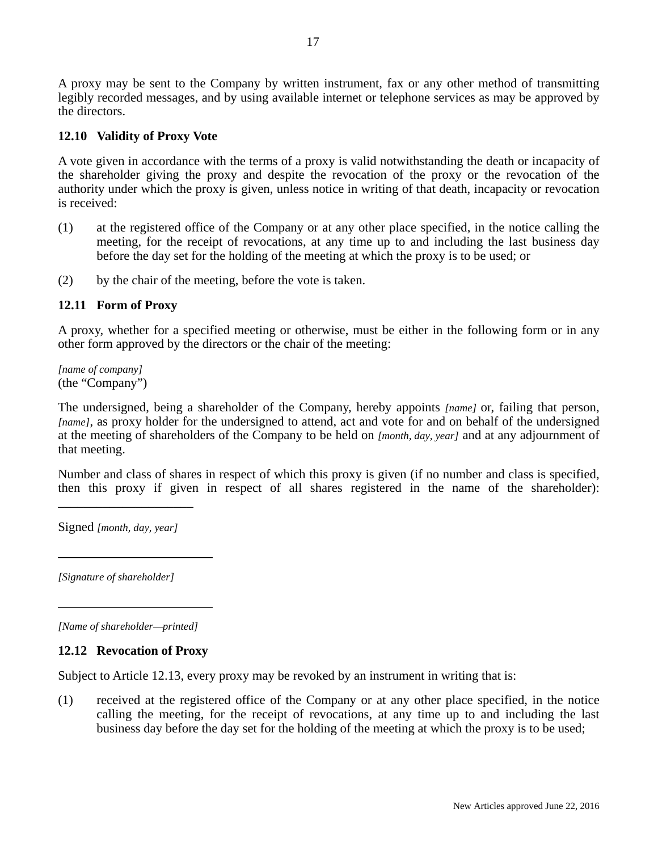A proxy may be sent to the Company by written instrument, fax or any other method of transmitting legibly recorded messages, and by using available internet or telephone services as may be approved by the directors.

## **12.10 Validity of Proxy Vote**

A vote given in accordance with the terms of a proxy is valid notwithstanding the death or incapacity of the shareholder giving the proxy and despite the revocation of the proxy or the revocation of the authority under which the proxy is given, unless notice in writing of that death, incapacity or revocation is received:

- (1) at the registered office of the Company or at any other place specified, in the notice calling the meeting, for the receipt of revocations, at any time up to and including the last business day before the day set for the holding of the meeting at which the proxy is to be used; or
- (2) by the chair of the meeting, before the vote is taken.

# **12.11 Form of Proxy**

A proxy, whether for a specified meeting or otherwise, must be either in the following form or in any other form approved by the directors or the chair of the meeting:

*[name of company]*  (the "Company")

The undersigned, being a shareholder of the Company, hereby appoints *[name]* or, failing that person, *[name]*, as proxy holder for the undersigned to attend, act and vote for and on behalf of the undersigned at the meeting of shareholders of the Company to be held on *[month, day, year]* and at any adjournment of that meeting.

Number and class of shares in respect of which this proxy is given (if no number and class is specified, then this proxy if given in respect of all shares registered in the name of the shareholder):

Signed *[month, day, year]*

\_\_\_\_\_\_\_\_\_\_\_\_\_\_\_\_\_\_\_\_\_

*[Signature of shareholder]*

 $\overline{a}$ 

l

*[Name of shareholder—printed]* 

### **12.12 Revocation of Proxy**

Subject to Article 12.13, every proxy may be revoked by an instrument in writing that is:

(1) received at the registered office of the Company or at any other place specified, in the notice calling the meeting, for the receipt of revocations, at any time up to and including the last business day before the day set for the holding of the meeting at which the proxy is to be used;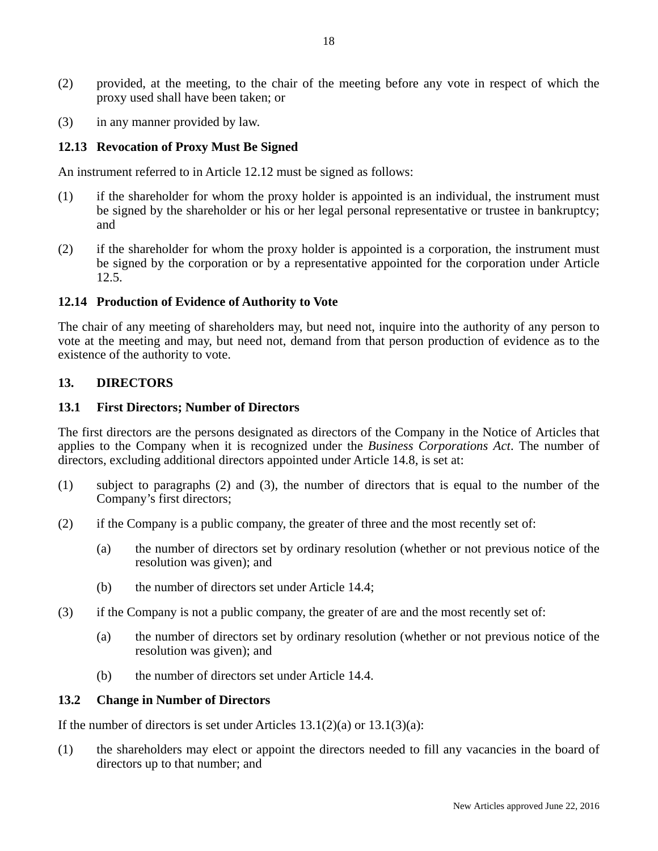- (2) provided, at the meeting, to the chair of the meeting before any vote in respect of which the proxy used shall have been taken; or
- (3) in any manner provided by law.

## **12.13 Revocation of Proxy Must Be Signed**

An instrument referred to in Article 12.12 must be signed as follows:

- (1) if the shareholder for whom the proxy holder is appointed is an individual, the instrument must be signed by the shareholder or his or her legal personal representative or trustee in bankruptcy; and
- (2) if the shareholder for whom the proxy holder is appointed is a corporation, the instrument must be signed by the corporation or by a representative appointed for the corporation under Article 12.5.

#### **12.14 Production of Evidence of Authority to Vote**

The chair of any meeting of shareholders may, but need not, inquire into the authority of any person to vote at the meeting and may, but need not, demand from that person production of evidence as to the existence of the authority to vote.

#### **13. DIRECTORS**

#### **13.1 First Directors; Number of Directors**

The first directors are the persons designated as directors of the Company in the Notice of Articles that applies to the Company when it is recognized under the *Business Corporations Act*. The number of directors, excluding additional directors appointed under Article 14.8, is set at:

- (1) subject to paragraphs (2) and (3), the number of directors that is equal to the number of the Company's first directors;
- (2) if the Company is a public company, the greater of three and the most recently set of:
	- (a) the number of directors set by ordinary resolution (whether or not previous notice of the resolution was given); and
	- (b) the number of directors set under Article 14.4;
- (3) if the Company is not a public company, the greater of are and the most recently set of:
	- (a) the number of directors set by ordinary resolution (whether or not previous notice of the resolution was given); and
	- (b) the number of directors set under Article 14.4.

#### **13.2 Change in Number of Directors**

If the number of directors is set under Articles  $13.1(2)(a)$  or  $13.1(3)(a)$ :

(1) the shareholders may elect or appoint the directors needed to fill any vacancies in the board of directors up to that number; and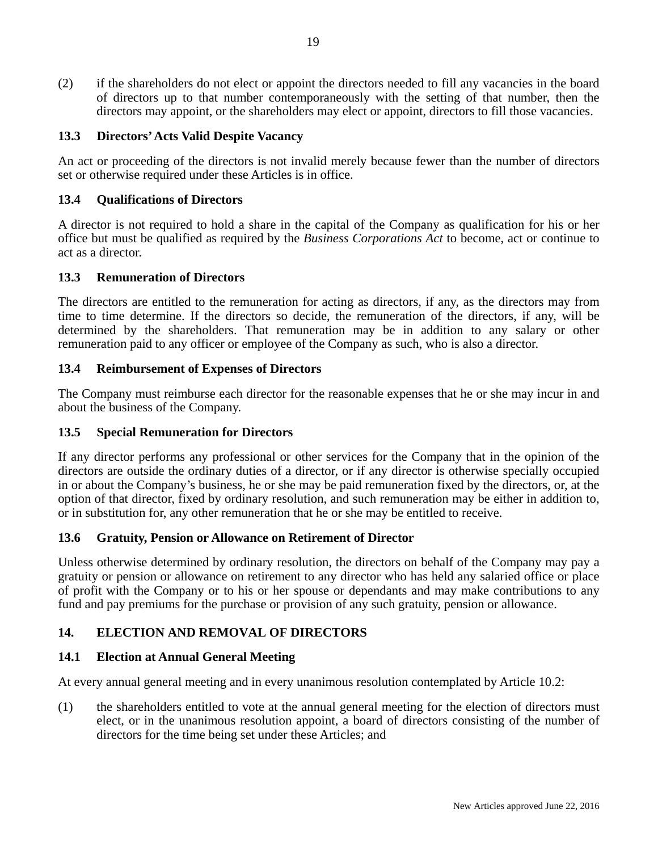(2) if the shareholders do not elect or appoint the directors needed to fill any vacancies in the board of directors up to that number contemporaneously with the setting of that number, then the directors may appoint, or the shareholders may elect or appoint, directors to fill those vacancies.

## **13.3 Directors' Acts Valid Despite Vacancy**

An act or proceeding of the directors is not invalid merely because fewer than the number of directors set or otherwise required under these Articles is in office.

### **13.4 Qualifications of Directors**

A director is not required to hold a share in the capital of the Company as qualification for his or her office but must be qualified as required by the *Business Corporations Act* to become, act or continue to act as a director.

#### **13.3 Remuneration of Directors**

The directors are entitled to the remuneration for acting as directors, if any, as the directors may from time to time determine. If the directors so decide, the remuneration of the directors, if any, will be determined by the shareholders. That remuneration may be in addition to any salary or other remuneration paid to any officer or employee of the Company as such, who is also a director.

#### **13.4 Reimbursement of Expenses of Directors**

The Company must reimburse each director for the reasonable expenses that he or she may incur in and about the business of the Company.

#### **13.5 Special Remuneration for Directors**

If any director performs any professional or other services for the Company that in the opinion of the directors are outside the ordinary duties of a director, or if any director is otherwise specially occupied in or about the Company's business, he or she may be paid remuneration fixed by the directors, or, at the option of that director, fixed by ordinary resolution, and such remuneration may be either in addition to, or in substitution for, any other remuneration that he or she may be entitled to receive.

### **13.6 Gratuity, Pension or Allowance on Retirement of Director**

Unless otherwise determined by ordinary resolution, the directors on behalf of the Company may pay a gratuity or pension or allowance on retirement to any director who has held any salaried office or place of profit with the Company or to his or her spouse or dependants and may make contributions to any fund and pay premiums for the purchase or provision of any such gratuity, pension or allowance.

### **14. ELECTION AND REMOVAL OF DIRECTORS**

### **14.1 Election at Annual General Meeting**

At every annual general meeting and in every unanimous resolution contemplated by Article 10.2:

(1) the shareholders entitled to vote at the annual general meeting for the election of directors must elect, or in the unanimous resolution appoint, a board of directors consisting of the number of directors for the time being set under these Articles; and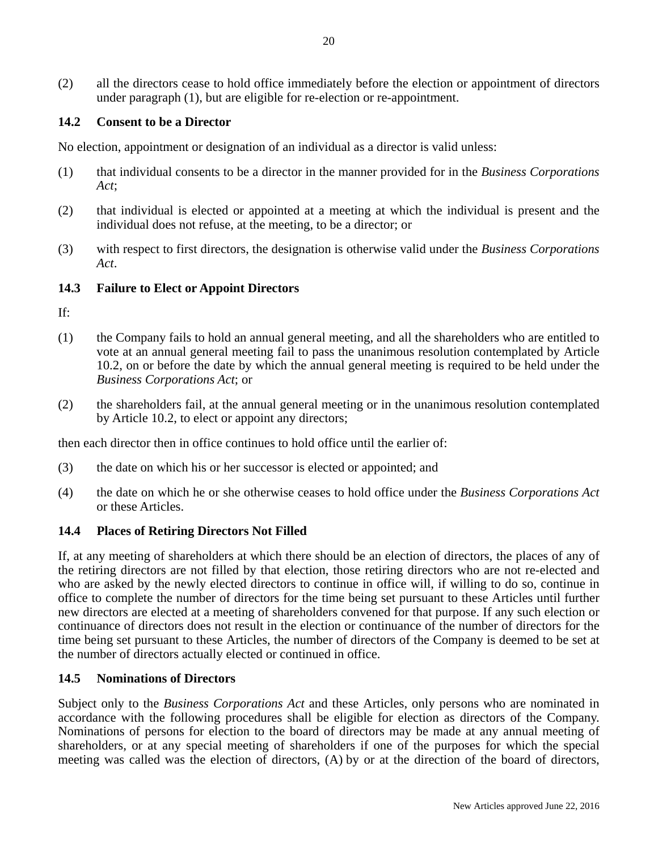(2) all the directors cease to hold office immediately before the election or appointment of directors under paragraph (1), but are eligible for re-election or re-appointment.

## **14.2 Consent to be a Director**

No election, appointment or designation of an individual as a director is valid unless:

- (1) that individual consents to be a director in the manner provided for in the *Business Corporations Act*;
- (2) that individual is elected or appointed at a meeting at which the individual is present and the individual does not refuse, at the meeting, to be a director; or
- (3) with respect to first directors, the designation is otherwise valid under the *Business Corporations Act*.

### **14.3 Failure to Elect or Appoint Directors**

If:

- (1) the Company fails to hold an annual general meeting, and all the shareholders who are entitled to vote at an annual general meeting fail to pass the unanimous resolution contemplated by Article 10.2, on or before the date by which the annual general meeting is required to be held under the *Business Corporations Act*; or
- (2) the shareholders fail, at the annual general meeting or in the unanimous resolution contemplated by Article 10.2, to elect or appoint any directors;

then each director then in office continues to hold office until the earlier of:

- (3) the date on which his or her successor is elected or appointed; and
- (4) the date on which he or she otherwise ceases to hold office under the *Business Corporations Act* or these Articles.

### **14.4 Places of Retiring Directors Not Filled**

If, at any meeting of shareholders at which there should be an election of directors, the places of any of the retiring directors are not filled by that election, those retiring directors who are not re-elected and who are asked by the newly elected directors to continue in office will, if willing to do so, continue in office to complete the number of directors for the time being set pursuant to these Articles until further new directors are elected at a meeting of shareholders convened for that purpose. If any such election or continuance of directors does not result in the election or continuance of the number of directors for the time being set pursuant to these Articles, the number of directors of the Company is deemed to be set at the number of directors actually elected or continued in office.

#### **14.5 Nominations of Directors**

Subject only to the *Business Corporations Act* and these Articles, only persons who are nominated in accordance with the following procedures shall be eligible for election as directors of the Company. Nominations of persons for election to the board of directors may be made at any annual meeting of shareholders, or at any special meeting of shareholders if one of the purposes for which the special meeting was called was the election of directors, (A) by or at the direction of the board of directors,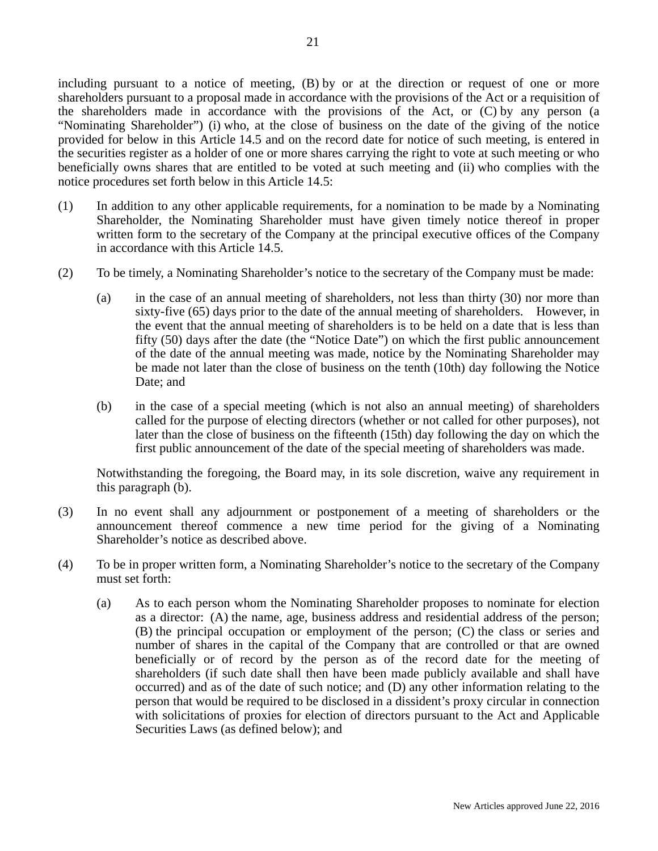including pursuant to a notice of meeting, (B) by or at the direction or request of one or more shareholders pursuant to a proposal made in accordance with the provisions of the Act or a requisition of the shareholders made in accordance with the provisions of the Act, or (C) by any person (a "Nominating Shareholder") (i) who, at the close of business on the date of the giving of the notice provided for below in this Article 14.5 and on the record date for notice of such meeting, is entered in the securities register as a holder of one or more shares carrying the right to vote at such meeting or who beneficially owns shares that are entitled to be voted at such meeting and (ii) who complies with the notice procedures set forth below in this Article 14.5:

- (1) In addition to any other applicable requirements, for a nomination to be made by a Nominating Shareholder, the Nominating Shareholder must have given timely notice thereof in proper written form to the secretary of the Company at the principal executive offices of the Company in accordance with this Article 14.5.
- (2) To be timely, a Nominating Shareholder's notice to the secretary of the Company must be made:
	- (a) in the case of an annual meeting of shareholders, not less than thirty (30) nor more than sixty-five (65) days prior to the date of the annual meeting of shareholders. However, in the event that the annual meeting of shareholders is to be held on a date that is less than fifty (50) days after the date (the "Notice Date") on which the first public announcement of the date of the annual meeting was made, notice by the Nominating Shareholder may be made not later than the close of business on the tenth (10th) day following the Notice Date; and
	- (b) in the case of a special meeting (which is not also an annual meeting) of shareholders called for the purpose of electing directors (whether or not called for other purposes), not later than the close of business on the fifteenth (15th) day following the day on which the first public announcement of the date of the special meeting of shareholders was made.

Notwithstanding the foregoing, the Board may, in its sole discretion, waive any requirement in this paragraph (b).

- (3) In no event shall any adjournment or postponement of a meeting of shareholders or the announcement thereof commence a new time period for the giving of a Nominating Shareholder's notice as described above.
- (4) To be in proper written form, a Nominating Shareholder's notice to the secretary of the Company must set forth:
	- (a) As to each person whom the Nominating Shareholder proposes to nominate for election as a director: (A) the name, age, business address and residential address of the person; (B) the principal occupation or employment of the person; (C) the class or series and number of shares in the capital of the Company that are controlled or that are owned beneficially or of record by the person as of the record date for the meeting of shareholders (if such date shall then have been made publicly available and shall have occurred) and as of the date of such notice; and (D) any other information relating to the person that would be required to be disclosed in a dissident's proxy circular in connection with solicitations of proxies for election of directors pursuant to the Act and Applicable Securities Laws (as defined below); and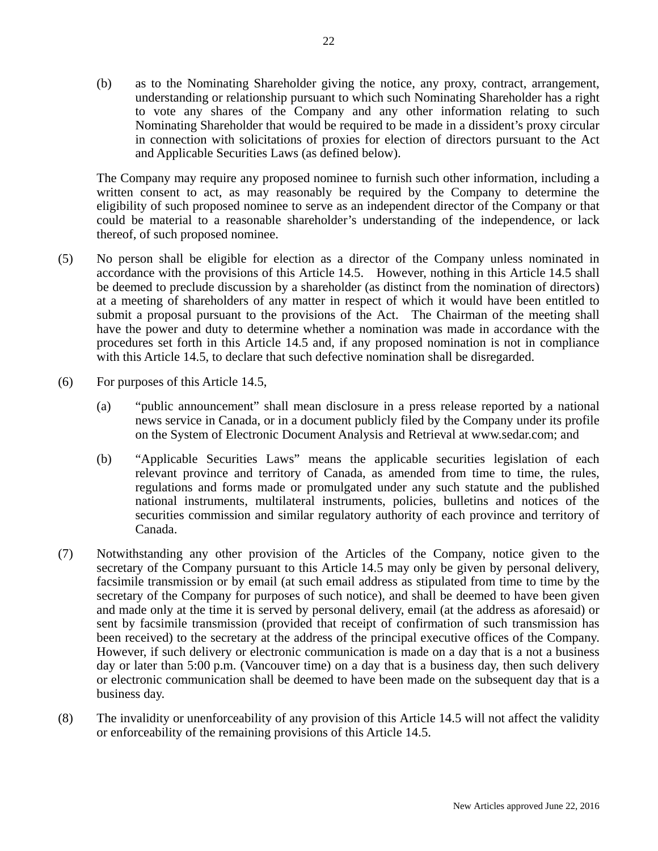(b) as to the Nominating Shareholder giving the notice, any proxy, contract, arrangement, understanding or relationship pursuant to which such Nominating Shareholder has a right to vote any shares of the Company and any other information relating to such Nominating Shareholder that would be required to be made in a dissident's proxy circular in connection with solicitations of proxies for election of directors pursuant to the Act and Applicable Securities Laws (as defined below).

The Company may require any proposed nominee to furnish such other information, including a written consent to act, as may reasonably be required by the Company to determine the eligibility of such proposed nominee to serve as an independent director of the Company or that could be material to a reasonable shareholder's understanding of the independence, or lack thereof, of such proposed nominee.

- (5) No person shall be eligible for election as a director of the Company unless nominated in accordance with the provisions of this Article 14.5. However, nothing in this Article 14.5 shall be deemed to preclude discussion by a shareholder (as distinct from the nomination of directors) at a meeting of shareholders of any matter in respect of which it would have been entitled to submit a proposal pursuant to the provisions of the Act. The Chairman of the meeting shall have the power and duty to determine whether a nomination was made in accordance with the procedures set forth in this Article 14.5 and, if any proposed nomination is not in compliance with this Article 14.5, to declare that such defective nomination shall be disregarded.
- (6) For purposes of this Article 14.5,
	- (a) "public announcement" shall mean disclosure in a press release reported by a national news service in Canada, or in a document publicly filed by the Company under its profile on the System of Electronic Document Analysis and Retrieval at www.sedar.com; and
	- (b) "Applicable Securities Laws" means the applicable securities legislation of each relevant province and territory of Canada, as amended from time to time, the rules, regulations and forms made or promulgated under any such statute and the published national instruments, multilateral instruments, policies, bulletins and notices of the securities commission and similar regulatory authority of each province and territory of Canada.
- (7) Notwithstanding any other provision of the Articles of the Company, notice given to the secretary of the Company pursuant to this Article 14.5 may only be given by personal delivery, facsimile transmission or by email (at such email address as stipulated from time to time by the secretary of the Company for purposes of such notice), and shall be deemed to have been given and made only at the time it is served by personal delivery, email (at the address as aforesaid) or sent by facsimile transmission (provided that receipt of confirmation of such transmission has been received) to the secretary at the address of the principal executive offices of the Company. However, if such delivery or electronic communication is made on a day that is a not a business day or later than 5:00 p.m. (Vancouver time) on a day that is a business day, then such delivery or electronic communication shall be deemed to have been made on the subsequent day that is a business day.
- (8) The invalidity or unenforceability of any provision of this Article 14.5 will not affect the validity or enforceability of the remaining provisions of this Article 14.5.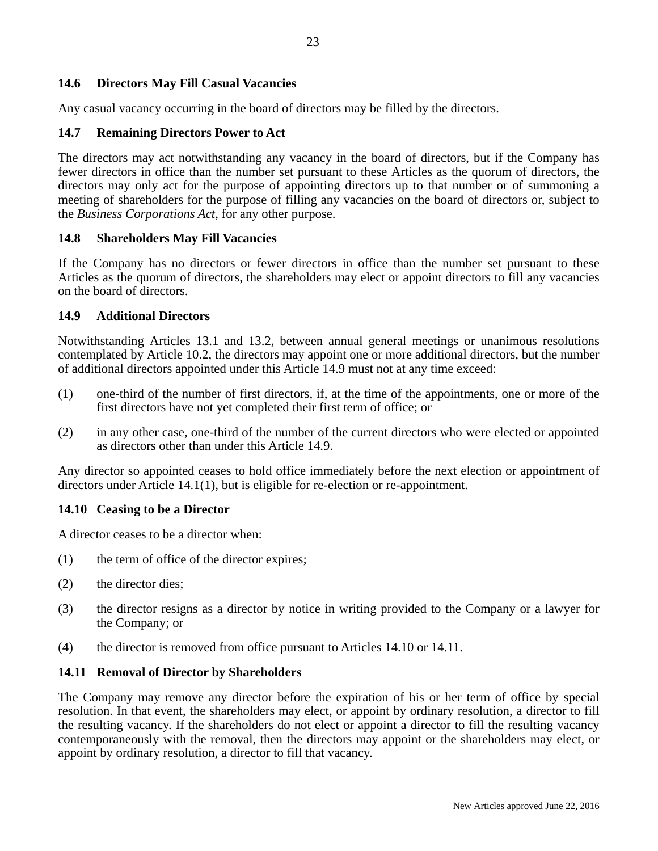#### **14.6 Directors May Fill Casual Vacancies**

Any casual vacancy occurring in the board of directors may be filled by the directors.

#### **14.7 Remaining Directors Power to Act**

The directors may act notwithstanding any vacancy in the board of directors, but if the Company has fewer directors in office than the number set pursuant to these Articles as the quorum of directors, the directors may only act for the purpose of appointing directors up to that number or of summoning a meeting of shareholders for the purpose of filling any vacancies on the board of directors or, subject to the *Business Corporations Act*, for any other purpose.

#### **14.8 Shareholders May Fill Vacancies**

If the Company has no directors or fewer directors in office than the number set pursuant to these Articles as the quorum of directors, the shareholders may elect or appoint directors to fill any vacancies on the board of directors.

#### **14.9 Additional Directors**

Notwithstanding Articles 13.1 and 13.2, between annual general meetings or unanimous resolutions contemplated by Article 10.2, the directors may appoint one or more additional directors, but the number of additional directors appointed under this Article 14.9 must not at any time exceed:

- (1) one-third of the number of first directors, if, at the time of the appointments, one or more of the first directors have not yet completed their first term of office; or
- (2) in any other case, one-third of the number of the current directors who were elected or appointed as directors other than under this Article 14.9.

Any director so appointed ceases to hold office immediately before the next election or appointment of directors under Article 14.1(1), but is eligible for re-election or re-appointment.

#### **14.10 Ceasing to be a Director**

A director ceases to be a director when:

- (1) the term of office of the director expires;
- (2) the director dies;
- (3) the director resigns as a director by notice in writing provided to the Company or a lawyer for the Company; or
- (4) the director is removed from office pursuant to Articles 14.10 or 14.11.

#### **14.11 Removal of Director by Shareholders**

The Company may remove any director before the expiration of his or her term of office by special resolution. In that event, the shareholders may elect, or appoint by ordinary resolution, a director to fill the resulting vacancy. If the shareholders do not elect or appoint a director to fill the resulting vacancy contemporaneously with the removal, then the directors may appoint or the shareholders may elect, or appoint by ordinary resolution, a director to fill that vacancy.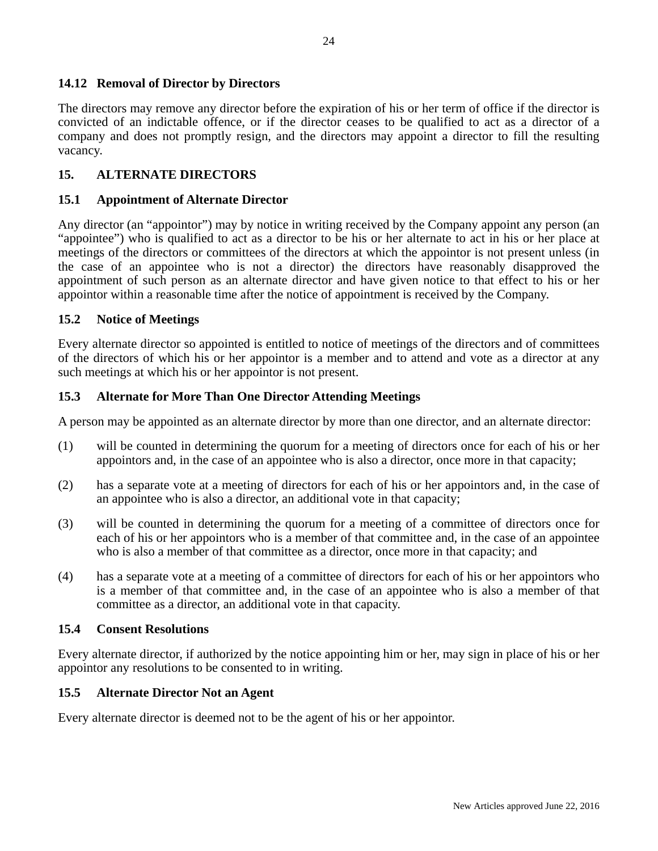### **14.12 Removal of Director by Directors**

The directors may remove any director before the expiration of his or her term of office if the director is convicted of an indictable offence, or if the director ceases to be qualified to act as a director of a company and does not promptly resign, and the directors may appoint a director to fill the resulting vacancy.

## **15. ALTERNATE DIRECTORS**

#### **15.1 Appointment of Alternate Director**

Any director (an "appointor") may by notice in writing received by the Company appoint any person (an "appointee") who is qualified to act as a director to be his or her alternate to act in his or her place at meetings of the directors or committees of the directors at which the appointor is not present unless (in the case of an appointee who is not a director) the directors have reasonably disapproved the appointment of such person as an alternate director and have given notice to that effect to his or her appointor within a reasonable time after the notice of appointment is received by the Company.

#### **15.2 Notice of Meetings**

Every alternate director so appointed is entitled to notice of meetings of the directors and of committees of the directors of which his or her appointor is a member and to attend and vote as a director at any such meetings at which his or her appointor is not present.

#### **15.3 Alternate for More Than One Director Attending Meetings**

A person may be appointed as an alternate director by more than one director, and an alternate director:

- (1) will be counted in determining the quorum for a meeting of directors once for each of his or her appointors and, in the case of an appointee who is also a director, once more in that capacity;
- (2) has a separate vote at a meeting of directors for each of his or her appointors and, in the case of an appointee who is also a director, an additional vote in that capacity;
- (3) will be counted in determining the quorum for a meeting of a committee of directors once for each of his or her appointors who is a member of that committee and, in the case of an appointee who is also a member of that committee as a director, once more in that capacity; and
- (4) has a separate vote at a meeting of a committee of directors for each of his or her appointors who is a member of that committee and, in the case of an appointee who is also a member of that committee as a director, an additional vote in that capacity.

### **15.4 Consent Resolutions**

Every alternate director, if authorized by the notice appointing him or her, may sign in place of his or her appointor any resolutions to be consented to in writing.

#### **15.5 Alternate Director Not an Agent**

Every alternate director is deemed not to be the agent of his or her appointor.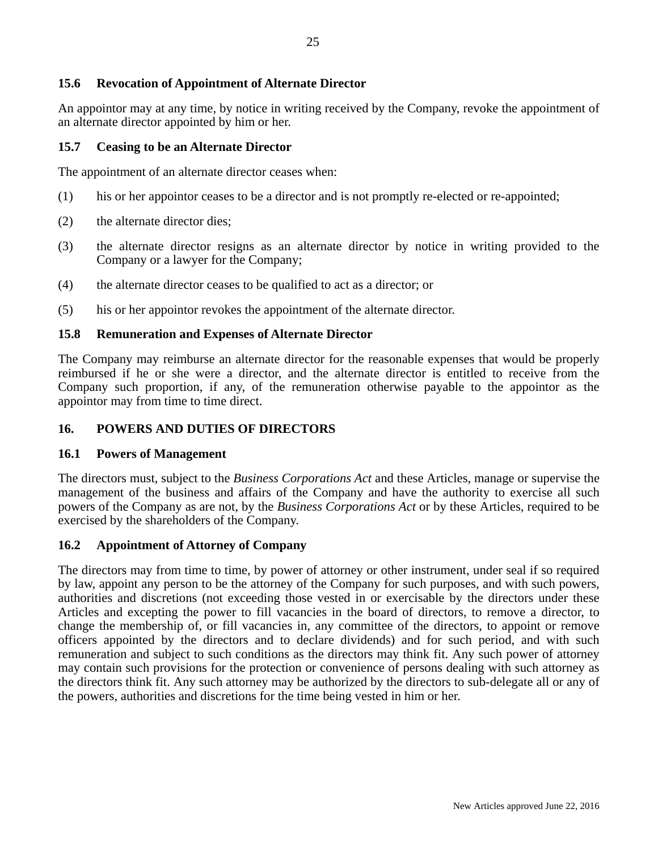### **15.6 Revocation of Appointment of Alternate Director**

An appointor may at any time, by notice in writing received by the Company, revoke the appointment of an alternate director appointed by him or her.

#### **15.7 Ceasing to be an Alternate Director**

The appointment of an alternate director ceases when:

- (1) his or her appointor ceases to be a director and is not promptly re-elected or re-appointed;
- (2) the alternate director dies;
- (3) the alternate director resigns as an alternate director by notice in writing provided to the Company or a lawyer for the Company;
- (4) the alternate director ceases to be qualified to act as a director; or
- (5) his or her appointor revokes the appointment of the alternate director.

#### **15.8 Remuneration and Expenses of Alternate Director**

The Company may reimburse an alternate director for the reasonable expenses that would be properly reimbursed if he or she were a director, and the alternate director is entitled to receive from the Company such proportion, if any, of the remuneration otherwise payable to the appointor as the appointor may from time to time direct.

#### **16. POWERS AND DUTIES OF DIRECTORS**

#### **16.1 Powers of Management**

The directors must, subject to the *Business Corporations Act* and these Articles, manage or supervise the management of the business and affairs of the Company and have the authority to exercise all such powers of the Company as are not, by the *Business Corporations Act* or by these Articles, required to be exercised by the shareholders of the Company.

#### **16.2 Appointment of Attorney of Company**

The directors may from time to time, by power of attorney or other instrument, under seal if so required by law, appoint any person to be the attorney of the Company for such purposes, and with such powers, authorities and discretions (not exceeding those vested in or exercisable by the directors under these Articles and excepting the power to fill vacancies in the board of directors, to remove a director, to change the membership of, or fill vacancies in, any committee of the directors, to appoint or remove officers appointed by the directors and to declare dividends) and for such period, and with such remuneration and subject to such conditions as the directors may think fit. Any such power of attorney may contain such provisions for the protection or convenience of persons dealing with such attorney as the directors think fit. Any such attorney may be authorized by the directors to sub-delegate all or any of the powers, authorities and discretions for the time being vested in him or her.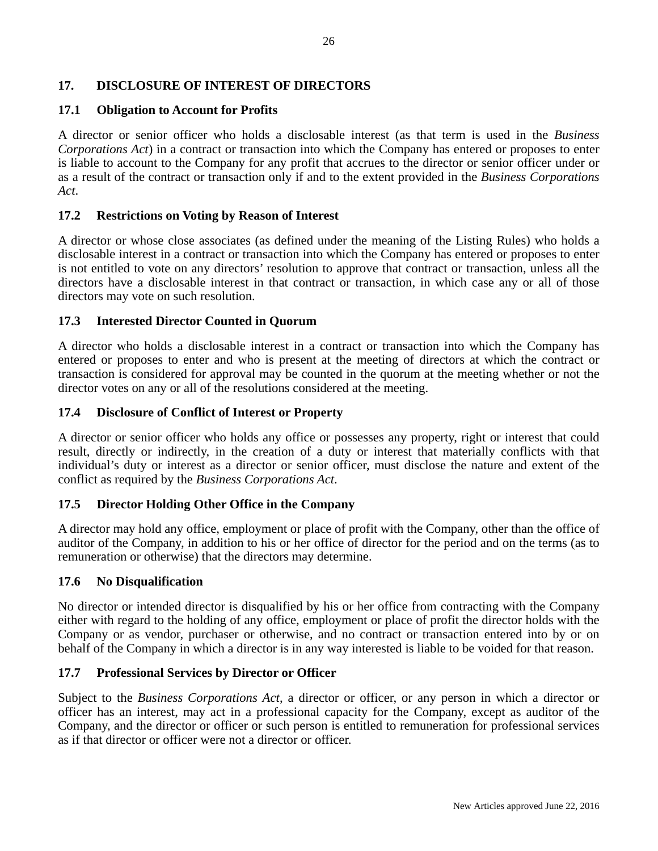### **17. DISCLOSURE OF INTEREST OF DIRECTORS**

## **17.1 Obligation to Account for Profits**

A director or senior officer who holds a disclosable interest (as that term is used in the *Business Corporations Act*) in a contract or transaction into which the Company has entered or proposes to enter is liable to account to the Company for any profit that accrues to the director or senior officer under or as a result of the contract or transaction only if and to the extent provided in the *Business Corporations Act*.

### **17.2 Restrictions on Voting by Reason of Interest**

A director or whose close associates (as defined under the meaning of the Listing Rules) who holds a disclosable interest in a contract or transaction into which the Company has entered or proposes to enter is not entitled to vote on any directors' resolution to approve that contract or transaction, unless all the directors have a disclosable interest in that contract or transaction, in which case any or all of those directors may vote on such resolution.

### **17.3 Interested Director Counted in Quorum**

A director who holds a disclosable interest in a contract or transaction into which the Company has entered or proposes to enter and who is present at the meeting of directors at which the contract or transaction is considered for approval may be counted in the quorum at the meeting whether or not the director votes on any or all of the resolutions considered at the meeting.

### **17.4 Disclosure of Conflict of Interest or Property**

A director or senior officer who holds any office or possesses any property, right or interest that could result, directly or indirectly, in the creation of a duty or interest that materially conflicts with that individual's duty or interest as a director or senior officer, must disclose the nature and extent of the conflict as required by the *Business Corporations Act*.

# **17.5 Director Holding Other Office in the Company**

A director may hold any office, employment or place of profit with the Company, other than the office of auditor of the Company, in addition to his or her office of director for the period and on the terms (as to remuneration or otherwise) that the directors may determine.

### **17.6 No Disqualification**

No director or intended director is disqualified by his or her office from contracting with the Company either with regard to the holding of any office, employment or place of profit the director holds with the Company or as vendor, purchaser or otherwise, and no contract or transaction entered into by or on behalf of the Company in which a director is in any way interested is liable to be voided for that reason.

### **17.7 Professional Services by Director or Officer**

Subject to the *Business Corporations Act*, a director or officer, or any person in which a director or officer has an interest, may act in a professional capacity for the Company, except as auditor of the Company, and the director or officer or such person is entitled to remuneration for professional services as if that director or officer were not a director or officer.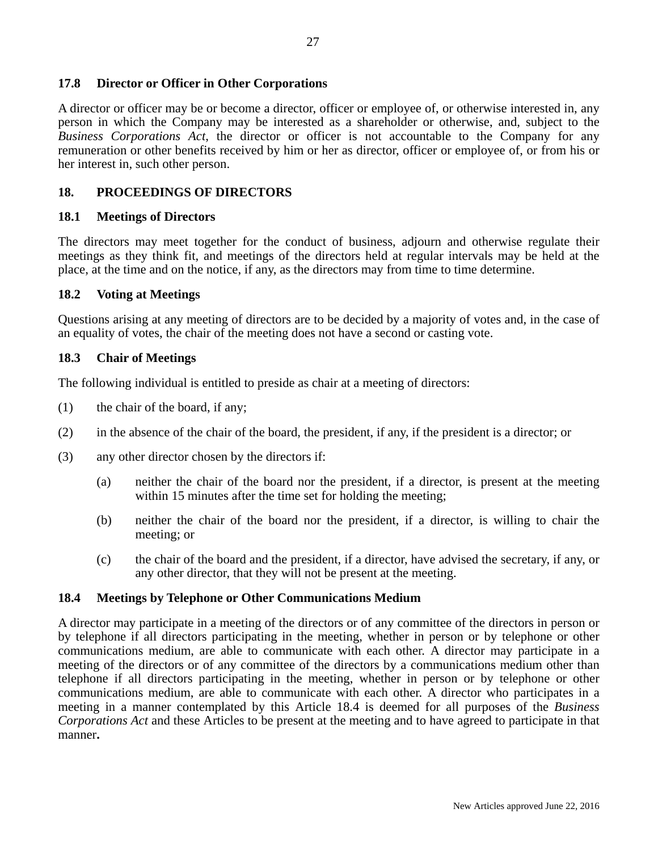#### **17.8 Director or Officer in Other Corporations**

A director or officer may be or become a director, officer or employee of, or otherwise interested in, any person in which the Company may be interested as a shareholder or otherwise, and, subject to the *Business Corporations Act*, the director or officer is not accountable to the Company for any remuneration or other benefits received by him or her as director, officer or employee of, or from his or her interest in, such other person.

#### **18. PROCEEDINGS OF DIRECTORS**

#### **18.1 Meetings of Directors**

The directors may meet together for the conduct of business, adjourn and otherwise regulate their meetings as they think fit, and meetings of the directors held at regular intervals may be held at the place, at the time and on the notice, if any, as the directors may from time to time determine.

#### **18.2 Voting at Meetings**

Questions arising at any meeting of directors are to be decided by a majority of votes and, in the case of an equality of votes, the chair of the meeting does not have a second or casting vote.

#### **18.3 Chair of Meetings**

The following individual is entitled to preside as chair at a meeting of directors:

- (1) the chair of the board, if any;
- (2) in the absence of the chair of the board, the president, if any, if the president is a director; or
- (3) any other director chosen by the directors if:
	- (a) neither the chair of the board nor the president, if a director, is present at the meeting within 15 minutes after the time set for holding the meeting;
	- (b) neither the chair of the board nor the president, if a director, is willing to chair the meeting; or
	- (c) the chair of the board and the president, if a director, have advised the secretary, if any, or any other director, that they will not be present at the meeting.

#### **18.4 Meetings by Telephone or Other Communications Medium**

A director may participate in a meeting of the directors or of any committee of the directors in person or by telephone if all directors participating in the meeting, whether in person or by telephone or other communications medium, are able to communicate with each other. A director may participate in a meeting of the directors or of any committee of the directors by a communications medium other than telephone if all directors participating in the meeting, whether in person or by telephone or other communications medium, are able to communicate with each other. A director who participates in a meeting in a manner contemplated by this Article 18.4 is deemed for all purposes of the *Business Corporations Act* and these Articles to be present at the meeting and to have agreed to participate in that manner**.**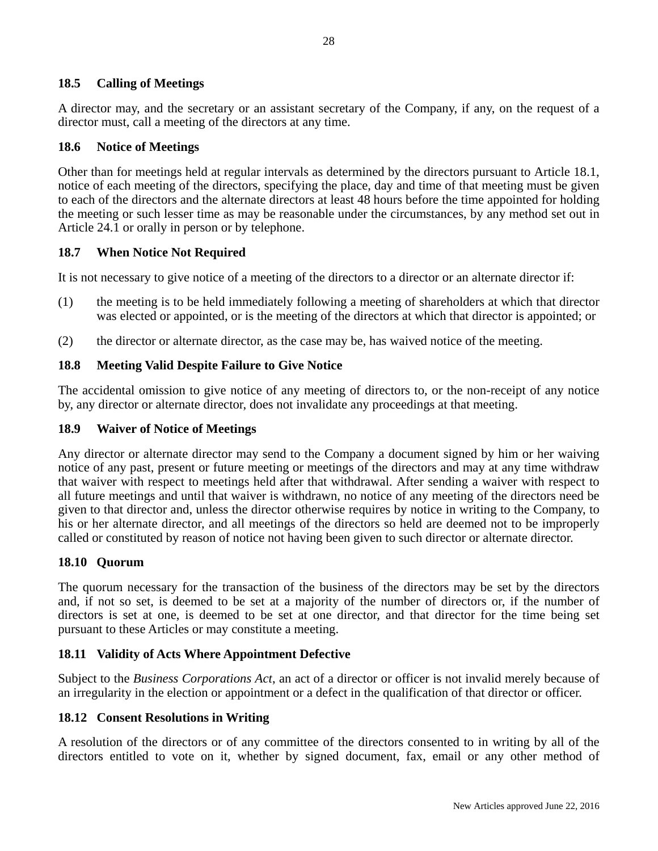### **18.5 Calling of Meetings**

A director may, and the secretary or an assistant secretary of the Company, if any, on the request of a director must, call a meeting of the directors at any time.

#### **18.6 Notice of Meetings**

Other than for meetings held at regular intervals as determined by the directors pursuant to Article 18.1, notice of each meeting of the directors, specifying the place, day and time of that meeting must be given to each of the directors and the alternate directors at least 48 hours before the time appointed for holding the meeting or such lesser time as may be reasonable under the circumstances, by any method set out in Article 24.1 or orally in person or by telephone.

#### **18.7 When Notice Not Required**

It is not necessary to give notice of a meeting of the directors to a director or an alternate director if:

- (1) the meeting is to be held immediately following a meeting of shareholders at which that director was elected or appointed, or is the meeting of the directors at which that director is appointed; or
- (2) the director or alternate director, as the case may be, has waived notice of the meeting.

#### **18.8 Meeting Valid Despite Failure to Give Notice**

The accidental omission to give notice of any meeting of directors to, or the non-receipt of any notice by, any director or alternate director, does not invalidate any proceedings at that meeting.

#### **18.9 Waiver of Notice of Meetings**

Any director or alternate director may send to the Company a document signed by him or her waiving notice of any past, present or future meeting or meetings of the directors and may at any time withdraw that waiver with respect to meetings held after that withdrawal. After sending a waiver with respect to all future meetings and until that waiver is withdrawn, no notice of any meeting of the directors need be given to that director and, unless the director otherwise requires by notice in writing to the Company, to his or her alternate director, and all meetings of the directors so held are deemed not to be improperly called or constituted by reason of notice not having been given to such director or alternate director.

### **18.10 Quorum**

The quorum necessary for the transaction of the business of the directors may be set by the directors and, if not so set, is deemed to be set at a majority of the number of directors or, if the number of directors is set at one, is deemed to be set at one director, and that director for the time being set pursuant to these Articles or may constitute a meeting.

### **18.11 Validity of Acts Where Appointment Defective**

Subject to the *Business Corporations Act*, an act of a director or officer is not invalid merely because of an irregularity in the election or appointment or a defect in the qualification of that director or officer.

#### **18.12 Consent Resolutions in Writing**

A resolution of the directors or of any committee of the directors consented to in writing by all of the directors entitled to vote on it, whether by signed document, fax, email or any other method of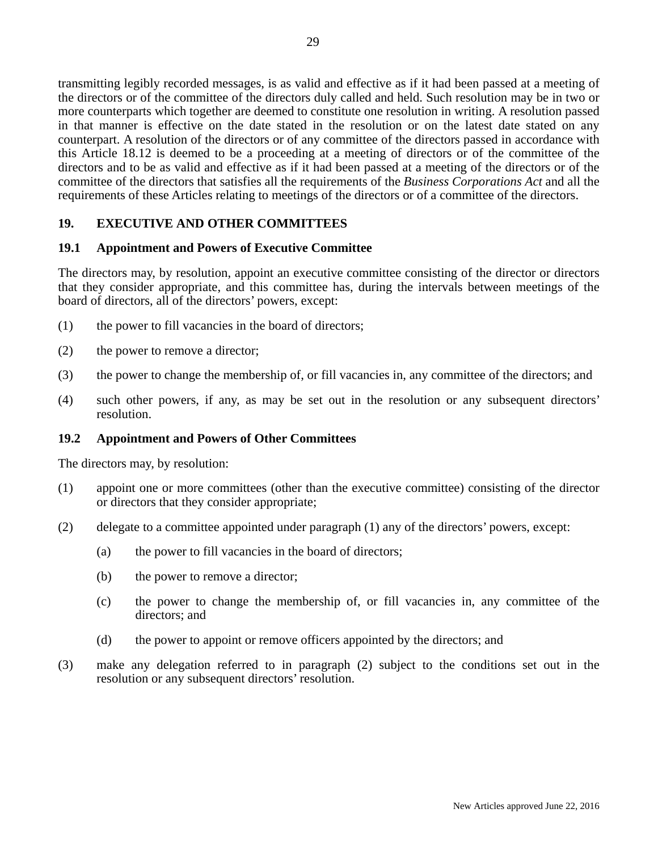transmitting legibly recorded messages, is as valid and effective as if it had been passed at a meeting of the directors or of the committee of the directors duly called and held. Such resolution may be in two or more counterparts which together are deemed to constitute one resolution in writing. A resolution passed in that manner is effective on the date stated in the resolution or on the latest date stated on any counterpart. A resolution of the directors or of any committee of the directors passed in accordance with this Article 18.12 is deemed to be a proceeding at a meeting of directors or of the committee of the directors and to be as valid and effective as if it had been passed at a meeting of the directors or of the committee of the directors that satisfies all the requirements of the *Business Corporations Act* and all the requirements of these Articles relating to meetings of the directors or of a committee of the directors.

# **19. EXECUTIVE AND OTHER COMMITTEES**

# **19.1 Appointment and Powers of Executive Committee**

The directors may, by resolution, appoint an executive committee consisting of the director or directors that they consider appropriate, and this committee has, during the intervals between meetings of the board of directors, all of the directors' powers, except:

- (1) the power to fill vacancies in the board of directors;
- (2) the power to remove a director;
- (3) the power to change the membership of, or fill vacancies in, any committee of the directors; and
- (4) such other powers, if any, as may be set out in the resolution or any subsequent directors' resolution.

### **19.2 Appointment and Powers of Other Committees**

The directors may, by resolution:

- (1) appoint one or more committees (other than the executive committee) consisting of the director or directors that they consider appropriate;
- (2) delegate to a committee appointed under paragraph (1) any of the directors' powers, except:
	- (a) the power to fill vacancies in the board of directors;
	- (b) the power to remove a director;
	- (c) the power to change the membership of, or fill vacancies in, any committee of the directors; and
	- (d) the power to appoint or remove officers appointed by the directors; and
- (3) make any delegation referred to in paragraph (2) subject to the conditions set out in the resolution or any subsequent directors' resolution.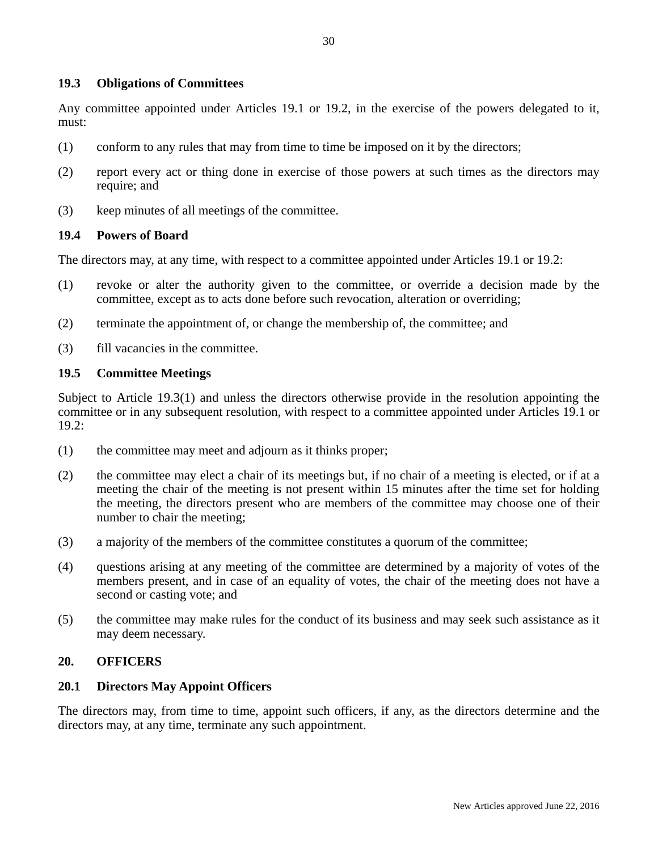#### **19.3 Obligations of Committees**

Any committee appointed under Articles 19.1 or 19.2, in the exercise of the powers delegated to it, must:

- (1) conform to any rules that may from time to time be imposed on it by the directors;
- (2) report every act or thing done in exercise of those powers at such times as the directors may require; and
- (3) keep minutes of all meetings of the committee.

#### **19.4 Powers of Board**

The directors may, at any time, with respect to a committee appointed under Articles 19.1 or 19.2:

- (1) revoke or alter the authority given to the committee, or override a decision made by the committee, except as to acts done before such revocation, alteration or overriding;
- (2) terminate the appointment of, or change the membership of, the committee; and
- (3) fill vacancies in the committee.

#### **19.5 Committee Meetings**

Subject to Article 19.3(1) and unless the directors otherwise provide in the resolution appointing the committee or in any subsequent resolution, with respect to a committee appointed under Articles 19.1 or 19.2:

- (1) the committee may meet and adjourn as it thinks proper;
- (2) the committee may elect a chair of its meetings but, if no chair of a meeting is elected, or if at a meeting the chair of the meeting is not present within 15 minutes after the time set for holding the meeting, the directors present who are members of the committee may choose one of their number to chair the meeting;
- (3) a majority of the members of the committee constitutes a quorum of the committee;
- (4) questions arising at any meeting of the committee are determined by a majority of votes of the members present, and in case of an equality of votes, the chair of the meeting does not have a second or casting vote; and
- (5) the committee may make rules for the conduct of its business and may seek such assistance as it may deem necessary.

#### **20. OFFICERS**

#### **20.1 Directors May Appoint Officers**

The directors may, from time to time, appoint such officers, if any, as the directors determine and the directors may, at any time, terminate any such appointment.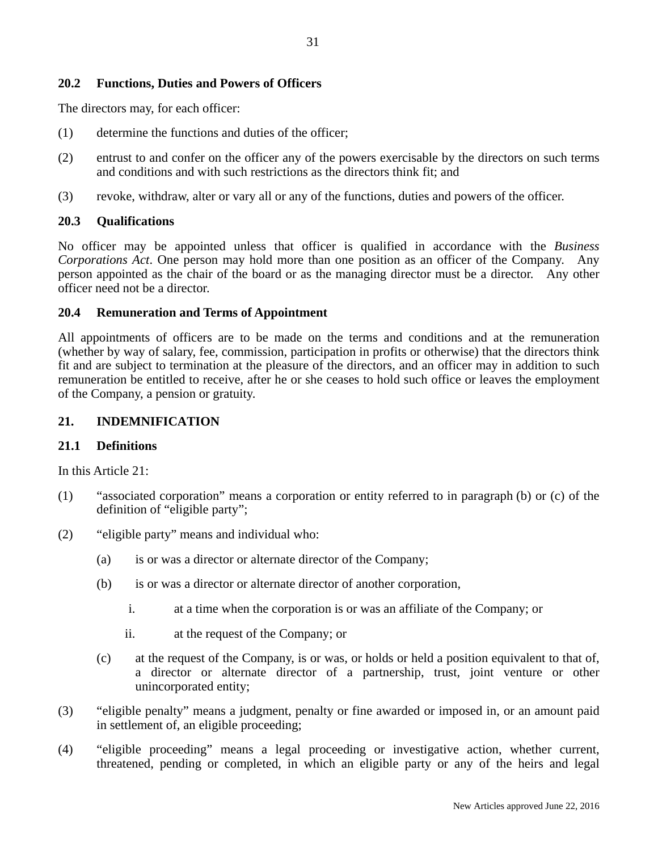#### **20.2 Functions, Duties and Powers of Officers**

The directors may, for each officer:

- (1) determine the functions and duties of the officer;
- (2) entrust to and confer on the officer any of the powers exercisable by the directors on such terms and conditions and with such restrictions as the directors think fit; and
- (3) revoke, withdraw, alter or vary all or any of the functions, duties and powers of the officer.

#### **20.3 Qualifications**

No officer may be appointed unless that officer is qualified in accordance with the *Business Corporations Act*. One person may hold more than one position as an officer of the Company. Any person appointed as the chair of the board or as the managing director must be a director. Any other officer need not be a director.

#### **20.4 Remuneration and Terms of Appointment**

All appointments of officers are to be made on the terms and conditions and at the remuneration (whether by way of salary, fee, commission, participation in profits or otherwise) that the directors think fit and are subject to termination at the pleasure of the directors, and an officer may in addition to such remuneration be entitled to receive, after he or she ceases to hold such office or leaves the employment of the Company, a pension or gratuity.

#### **21. INDEMNIFICATION**

#### **21.1 Definitions**

In this Article 21:

- (1) "associated corporation" means a corporation or entity referred to in paragraph (b) or (c) of the definition of "eligible party";
- (2) "eligible party" means and individual who:
	- (a) is or was a director or alternate director of the Company;
	- (b) is or was a director or alternate director of another corporation,
		- i. at a time when the corporation is or was an affiliate of the Company; or
		- ii. at the request of the Company; or
	- (c) at the request of the Company, is or was, or holds or held a position equivalent to that of, a director or alternate director of a partnership, trust, joint venture or other unincorporated entity;
- (3) "eligible penalty" means a judgment, penalty or fine awarded or imposed in, or an amount paid in settlement of, an eligible proceeding;
- (4) "eligible proceeding" means a legal proceeding or investigative action, whether current, threatened, pending or completed, in which an eligible party or any of the heirs and legal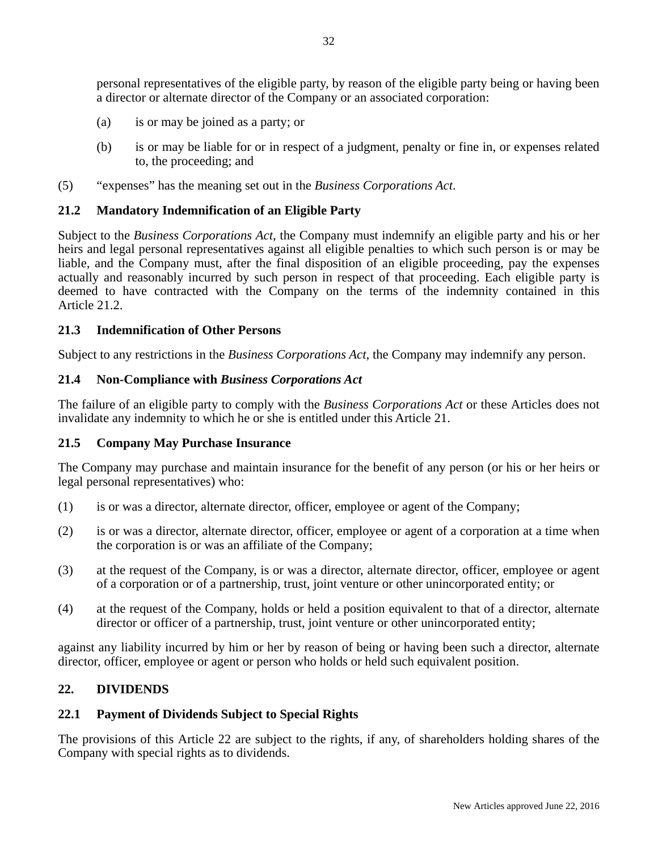personal representatives of the eligible party, by reason of the eligible party being or having been a director or alternate director of the Company or an associated corporation:

- (a) is or may be joined as a party; or
- (b) is or may be liable for or in respect of a judgment, penalty or fine in, or expenses related to, the proceeding; and
- (5) "expenses" has the meaning set out in the *Business Corporations Act*.

# **21.2 Mandatory Indemnification of an Eligible Party**

Subject to the *Business Corporations Act*, the Company must indemnify an eligible party and his or her heirs and legal personal representatives against all eligible penalties to which such person is or may be liable, and the Company must, after the final disposition of an eligible proceeding, pay the expenses actually and reasonably incurred by such person in respect of that proceeding. Each eligible party is deemed to have contracted with the Company on the terms of the indemnity contained in this Article 21.2.

### **21.3 Indemnification of Other Persons**

Subject to any restrictions in the *Business Corporations Act*, the Company may indemnify any person.

# **21.4 Non-Compliance with** *Business Corporations Act*

The failure of an eligible party to comply with the *Business Corporations Act* or these Articles does not invalidate any indemnity to which he or she is entitled under this Article 21.

### **21.5 Company May Purchase Insurance**

The Company may purchase and maintain insurance for the benefit of any person (or his or her heirs or legal personal representatives) who:

- (1) is or was a director, alternate director, officer, employee or agent of the Company;
- (2) is or was a director, alternate director, officer, employee or agent of a corporation at a time when the corporation is or was an affiliate of the Company;
- (3) at the request of the Company, is or was a director, alternate director, officer, employee or agent of a corporation or of a partnership, trust, joint venture or other unincorporated entity; or
- (4) at the request of the Company, holds or held a position equivalent to that of a director, alternate director or officer of a partnership, trust, joint venture or other unincorporated entity;

against any liability incurred by him or her by reason of being or having been such a director, alternate director, officer, employee or agent or person who holds or held such equivalent position.

### **22. DIVIDENDS**

### **22.1 Payment of Dividends Subject to Special Rights**

The provisions of this Article 22 are subject to the rights, if any, of shareholders holding shares of the Company with special rights as to dividends.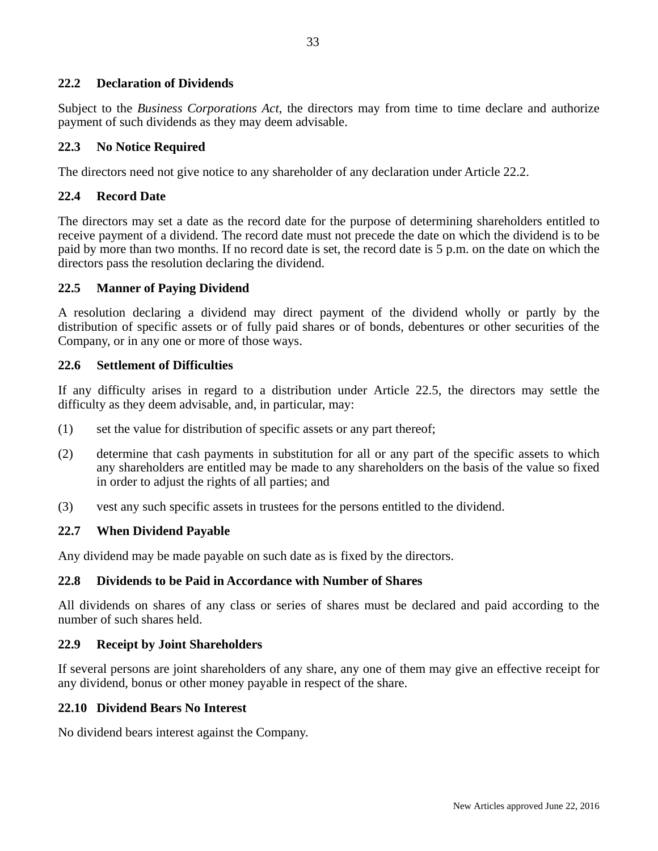### **22.2 Declaration of Dividends**

Subject to the *Business Corporations Act*, the directors may from time to time declare and authorize payment of such dividends as they may deem advisable.

#### **22.3 No Notice Required**

The directors need not give notice to any shareholder of any declaration under Article 22.2.

#### **22.4 Record Date**

The directors may set a date as the record date for the purpose of determining shareholders entitled to receive payment of a dividend. The record date must not precede the date on which the dividend is to be paid by more than two months. If no record date is set, the record date is 5 p.m. on the date on which the directors pass the resolution declaring the dividend.

#### **22.5 Manner of Paying Dividend**

A resolution declaring a dividend may direct payment of the dividend wholly or partly by the distribution of specific assets or of fully paid shares or of bonds, debentures or other securities of the Company, or in any one or more of those ways.

#### **22.6 Settlement of Difficulties**

If any difficulty arises in regard to a distribution under Article 22.5, the directors may settle the difficulty as they deem advisable, and, in particular, may:

- (1) set the value for distribution of specific assets or any part thereof;
- (2) determine that cash payments in substitution for all or any part of the specific assets to which any shareholders are entitled may be made to any shareholders on the basis of the value so fixed in order to adjust the rights of all parties; and
- (3) vest any such specific assets in trustees for the persons entitled to the dividend.

#### **22.7 When Dividend Payable**

Any dividend may be made payable on such date as is fixed by the directors.

#### **22.8 Dividends to be Paid in Accordance with Number of Shares**

All dividends on shares of any class or series of shares must be declared and paid according to the number of such shares held.

#### **22.9 Receipt by Joint Shareholders**

If several persons are joint shareholders of any share, any one of them may give an effective receipt for any dividend, bonus or other money payable in respect of the share.

#### **22.10 Dividend Bears No Interest**

No dividend bears interest against the Company.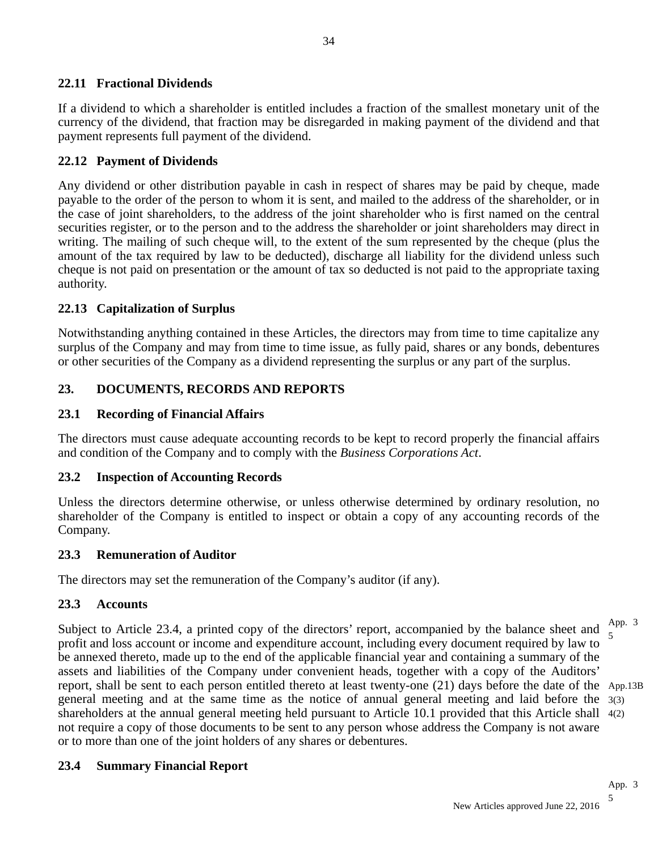# **22.11 Fractional Dividends**

If a dividend to which a shareholder is entitled includes a fraction of the smallest monetary unit of the currency of the dividend, that fraction may be disregarded in making payment of the dividend and that payment represents full payment of the dividend.

### **22.12 Payment of Dividends**

Any dividend or other distribution payable in cash in respect of shares may be paid by cheque, made payable to the order of the person to whom it is sent, and mailed to the address of the shareholder, or in the case of joint shareholders, to the address of the joint shareholder who is first named on the central securities register, or to the person and to the address the shareholder or joint shareholders may direct in writing. The mailing of such cheque will, to the extent of the sum represented by the cheque (plus the amount of the tax required by law to be deducted), discharge all liability for the dividend unless such cheque is not paid on presentation or the amount of tax so deducted is not paid to the appropriate taxing authority.

### **22.13 Capitalization of Surplus**

Notwithstanding anything contained in these Articles, the directors may from time to time capitalize any surplus of the Company and may from time to time issue, as fully paid, shares or any bonds, debentures or other securities of the Company as a dividend representing the surplus or any part of the surplus.

# **23. DOCUMENTS, RECORDS AND REPORTS**

# **23.1 Recording of Financial Affairs**

The directors must cause adequate accounting records to be kept to record properly the financial affairs and condition of the Company and to comply with the *Business Corporations Act*.

### **23.2 Inspection of Accounting Records**

Unless the directors determine otherwise, or unless otherwise determined by ordinary resolution, no shareholder of the Company is entitled to inspect or obtain a copy of any accounting records of the Company.

### **23.3 Remuneration of Auditor**

The directors may set the remuneration of the Company's auditor (if any).

# **23.3 Accounts**

Subject to Article 23.4, a printed copy of the directors' report, accompanied by the balance sheet and profit and loss account or income and expenditure account, including every document required by law to be annexed thereto, made up to the end of the applicable financial year and containing a summary of the assets and liabilities of the Company under convenient heads, together with a copy of the Auditors' report, shall be sent to each person entitled thereto at least twenty-one (21) days before the date of the App.13B general meeting and at the same time as the notice of annual general meeting and laid before the 3(3) shareholders at the annual general meeting held pursuant to Article 10.1 provided that this Article shall 4(2) not require a copy of those documents to be sent to any person whose address the Company is not aware or to more than one of the joint holders of any shares or debentures. App. 3 5

# **23.4 Summary Financial Report**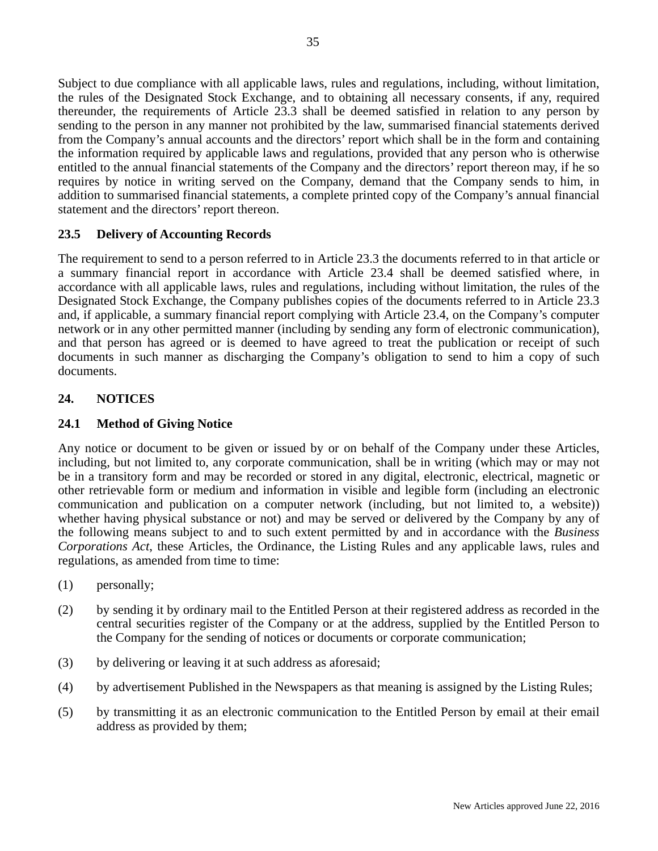Subject to due compliance with all applicable laws, rules and regulations, including, without limitation, the rules of the Designated Stock Exchange, and to obtaining all necessary consents, if any, required thereunder, the requirements of Article 23.3 shall be deemed satisfied in relation to any person by sending to the person in any manner not prohibited by the law, summarised financial statements derived from the Company's annual accounts and the directors' report which shall be in the form and containing the information required by applicable laws and regulations, provided that any person who is otherwise entitled to the annual financial statements of the Company and the directors' report thereon may, if he so requires by notice in writing served on the Company, demand that the Company sends to him, in addition to summarised financial statements, a complete printed copy of the Company's annual financial statement and the directors' report thereon.

# **23.5 Delivery of Accounting Records**

The requirement to send to a person referred to in Article 23.3 the documents referred to in that article or a summary financial report in accordance with Article 23.4 shall be deemed satisfied where, in accordance with all applicable laws, rules and regulations, including without limitation, the rules of the Designated Stock Exchange, the Company publishes copies of the documents referred to in Article 23.3 and, if applicable, a summary financial report complying with Article 23.4, on the Company's computer network or in any other permitted manner (including by sending any form of electronic communication), and that person has agreed or is deemed to have agreed to treat the publication or receipt of such documents in such manner as discharging the Company's obligation to send to him a copy of such documents.

# **24. NOTICES**

# **24.1 Method of Giving Notice**

Any notice or document to be given or issued by or on behalf of the Company under these Articles, including, but not limited to, any corporate communication, shall be in writing (which may or may not be in a transitory form and may be recorded or stored in any digital, electronic, electrical, magnetic or other retrievable form or medium and information in visible and legible form (including an electronic communication and publication on a computer network (including, but not limited to, a website)) whether having physical substance or not) and may be served or delivered by the Company by any of the following means subject to and to such extent permitted by and in accordance with the *Business Corporations Act*, these Articles, the Ordinance, the Listing Rules and any applicable laws, rules and regulations, as amended from time to time:

- (1) personally;
- (2) by sending it by ordinary mail to the Entitled Person at their registered address as recorded in the central securities register of the Company or at the address, supplied by the Entitled Person to the Company for the sending of notices or documents or corporate communication;
- (3) by delivering or leaving it at such address as aforesaid;
- (4) by advertisement Published in the Newspapers as that meaning is assigned by the Listing Rules;
- (5) by transmitting it as an electronic communication to the Entitled Person by email at their email address as provided by them;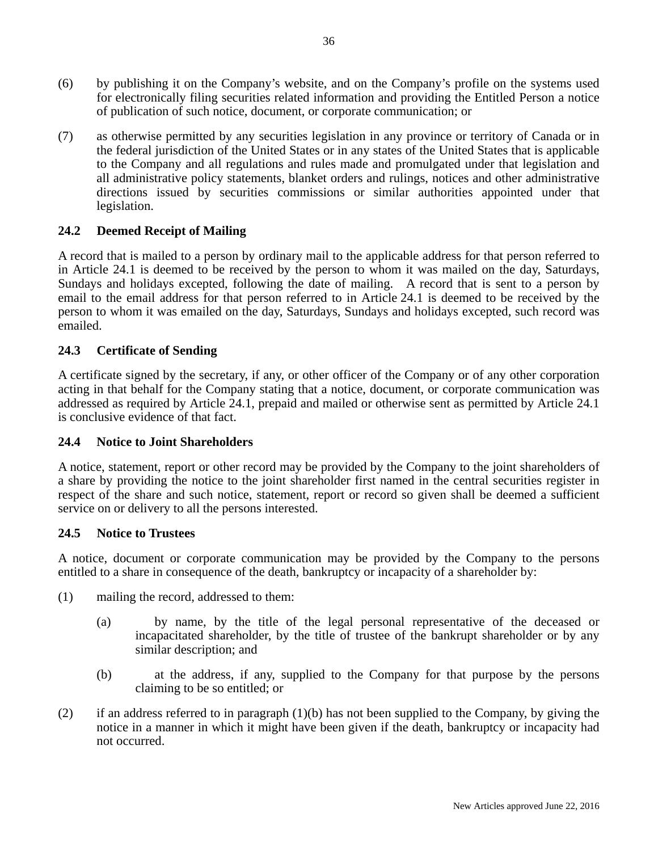- (6) by publishing it on the Company's website, and on the Company's profile on the systems used for electronically filing securities related information and providing the Entitled Person a notice of publication of such notice, document, or corporate communication; or
- (7) as otherwise permitted by any securities legislation in any province or territory of Canada or in the federal jurisdiction of the United States or in any states of the United States that is applicable to the Company and all regulations and rules made and promulgated under that legislation and all administrative policy statements, blanket orders and rulings, notices and other administrative directions issued by securities commissions or similar authorities appointed under that legislation.

# **24.2 Deemed Receipt of Mailing**

A record that is mailed to a person by ordinary mail to the applicable address for that person referred to in Article 24.1 is deemed to be received by the person to whom it was mailed on the day, Saturdays, Sundays and holidays excepted, following the date of mailing. A record that is sent to a person by email to the email address for that person referred to in Article 24.1 is deemed to be received by the person to whom it was emailed on the day, Saturdays, Sundays and holidays excepted, such record was emailed.

# **24.3 Certificate of Sending**

A certificate signed by the secretary, if any, or other officer of the Company or of any other corporation acting in that behalf for the Company stating that a notice, document, or corporate communication was addressed as required by Article 24.1, prepaid and mailed or otherwise sent as permitted by Article 24.1 is conclusive evidence of that fact.

### **24.4 Notice to Joint Shareholders**

A notice, statement, report or other record may be provided by the Company to the joint shareholders of a share by providing the notice to the joint shareholder first named in the central securities register in respect of the share and such notice, statement, report or record so given shall be deemed a sufficient service on or delivery to all the persons interested.

### **24.5 Notice to Trustees**

A notice, document or corporate communication may be provided by the Company to the persons entitled to a share in consequence of the death, bankruptcy or incapacity of a shareholder by:

- (1) mailing the record, addressed to them:
	- (a) by name, by the title of the legal personal representative of the deceased or incapacitated shareholder, by the title of trustee of the bankrupt shareholder or by any similar description; and
	- (b) at the address, if any, supplied to the Company for that purpose by the persons claiming to be so entitled; or
- (2) if an address referred to in paragraph (1)(b) has not been supplied to the Company, by giving the notice in a manner in which it might have been given if the death, bankruptcy or incapacity had not occurred.